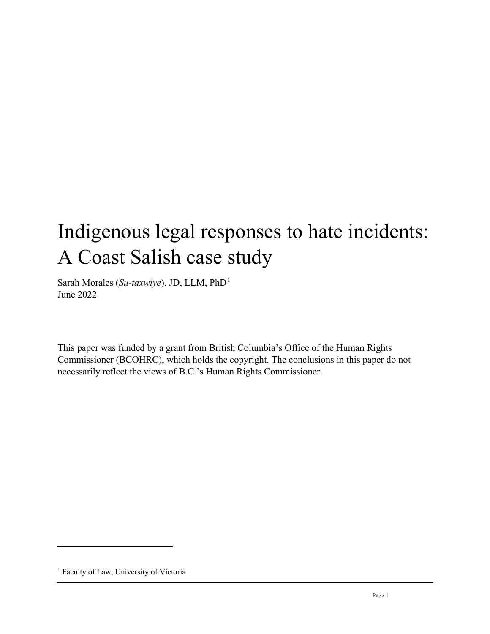# Indigenous legal responses to hate incidents: A Coast Salish case study

Sarah Morales (*Su-taxwiye*), JD, LLM, PhD[1](#page-0-0) June 2022

This paper was funded by a grant from British Columbia's Office of the Human Rights Commissioner (BCOHRC), which holds the copyright. The conclusions in this paper do not necessarily reflect the views of B.C.'s Human Rights Commissioner.

<span id="page-0-0"></span><sup>&</sup>lt;sup>1</sup> Faculty of Law, University of Victoria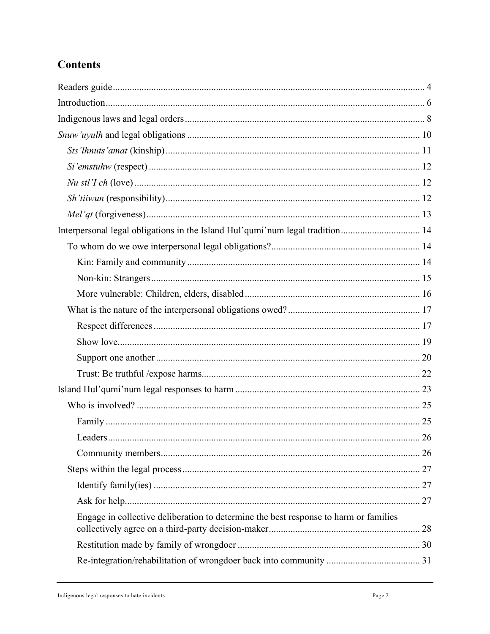# **Contents**

| Engage in collective deliberation to determine the best response to harm or families |  |
|--------------------------------------------------------------------------------------|--|
|                                                                                      |  |
|                                                                                      |  |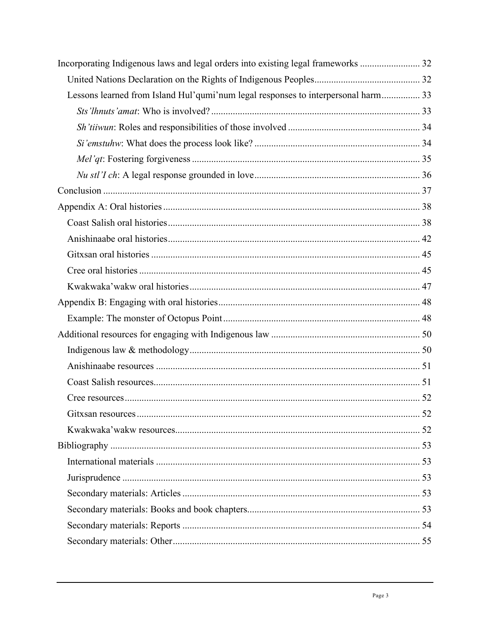| Incorporating Indigenous laws and legal orders into existing legal frameworks  32 |  |
|-----------------------------------------------------------------------------------|--|
|                                                                                   |  |
| Lessons learned from Island Hul'qumi'num legal responses to interpersonal harm 33 |  |
|                                                                                   |  |
|                                                                                   |  |
|                                                                                   |  |
|                                                                                   |  |
|                                                                                   |  |
|                                                                                   |  |
|                                                                                   |  |
|                                                                                   |  |
|                                                                                   |  |
|                                                                                   |  |
|                                                                                   |  |
|                                                                                   |  |
|                                                                                   |  |
|                                                                                   |  |
|                                                                                   |  |
|                                                                                   |  |
|                                                                                   |  |
|                                                                                   |  |
|                                                                                   |  |
|                                                                                   |  |
|                                                                                   |  |
|                                                                                   |  |
|                                                                                   |  |
|                                                                                   |  |
|                                                                                   |  |
|                                                                                   |  |
|                                                                                   |  |
|                                                                                   |  |
|                                                                                   |  |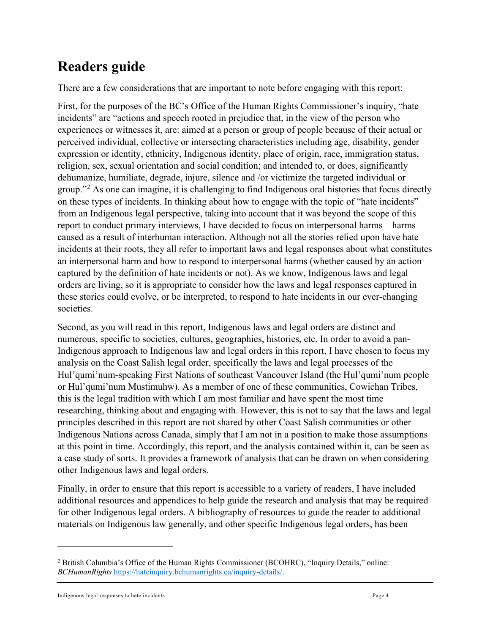# <span id="page-3-0"></span>**Readers guide**

There are a few considerations that are important to note before engaging with this report:

First, for the purposes of the BC's Office of the Human Rights Commissioner's inquiry, "hate incidents" are "actions and speech rooted in prejudice that, in the view of the person who experiences or witnesses it, are: aimed at a person or group of people because of their actual or perceived individual, collective or intersecting characteristics including age, disability, gender expression or identity, ethnicity, Indigenous identity, place of origin, race, immigration status, religion, sex, sexual orientation and social condition; and intended to, or does, significantly dehumanize, humiliate, degrade, injure, silence and /or victimize the targeted individual or group."[2](#page-3-1) As one can imagine, it is challenging to find Indigenous oral histories that focus directly on these types of incidents. In thinking about how to engage with the topic of "hate incidents" from an Indigenous legal perspective, taking into account that it was beyond the scope of this report to conduct primary interviews, I have decided to focus on interpersonal harms – harms caused as a result of interhuman interaction. Although not all the stories relied upon have hate incidents at their roots, they all refer to important laws and legal responses about what constitutes an interpersonal harm and how to respond to interpersonal harms (whether caused by an action captured by the definition of hate incidents or not). As we know, Indigenous laws and legal orders are living, so it is appropriate to consider how the laws and legal responses captured in these stories could evolve, or be interpreted, to respond to hate incidents in our ever-changing societies.

Second, as you will read in this report, Indigenous laws and legal orders are distinct and numerous, specific to societies, cultures, geographies, histories, etc. In order to avoid a pan-Indigenous approach to Indigenous law and legal orders in this report, I have chosen to focus my analysis on the Coast Salish legal order, specifically the laws and legal processes of the Hul'qumi'num-speaking First Nations of southeast Vancouver Island (the Hul'qumi'num people or Hul'qumi'num Mustimuhw). As a member of one of these communities, Cowichan Tribes, this is the legal tradition with which I am most familiar and have spent the most time researching, thinking about and engaging with. However, this is not to say that the laws and legal principles described in this report are not shared by other Coast Salish communities or other Indigenous Nations across Canada, simply that I am not in a position to make those assumptions at this point in time. Accordingly, this report, and the analysis contained within it, can be seen as a case study of sorts. It provides a framework of analysis that can be drawn on when considering other Indigenous laws and legal orders.

Finally, in order to ensure that this report is accessible to a variety of readers, I have included additional resources and appendices to help guide the research and analysis that may be required for other Indigenous legal orders. A bibliography of resources to guide the reader to additional materials on Indigenous law generally, and other specific Indigenous legal orders, has been

<span id="page-3-1"></span><sup>2</sup> British Columbia's Office of the Human Rights Commissioner (BCOHRC), "Inquiry Details," online: *BCHumanRights* [https://hateinquiry.bchumanrights.ca/inquiry-details/.](https://hateinquiry.bchumanrights.ca/inquiry-details/)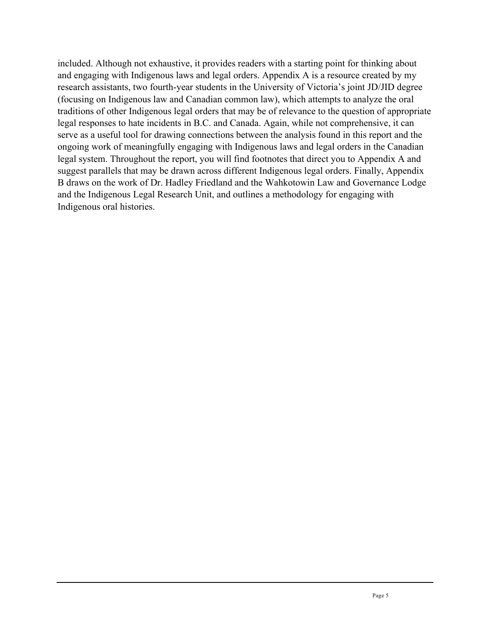included. Although not exhaustive, it provides readers with a starting point for thinking about and engaging with Indigenous laws and legal orders. Appendix A is a resource created by my research assistants, two fourth-year students in the University of Victoria's joint JD/JID degree (focusing on Indigenous law and Canadian common law), which attempts to analyze the oral traditions of other Indigenous legal orders that may be of relevance to the question of appropriate legal responses to hate incidents in B.C. and Canada. Again, while not comprehensive, it can serve as a useful tool for drawing connections between the analysis found in this report and the ongoing work of meaningfully engaging with Indigenous laws and legal orders in the Canadian legal system. Throughout the report, you will find footnotes that direct you to Appendix A and suggest parallels that may be drawn across different Indigenous legal orders. Finally, Appendix B draws on the work of Dr. Hadley Friedland and the Wahkotowin Law and Governance Lodge and the Indigenous Legal Research Unit, and outlines a methodology for engaging with Indigenous oral histories.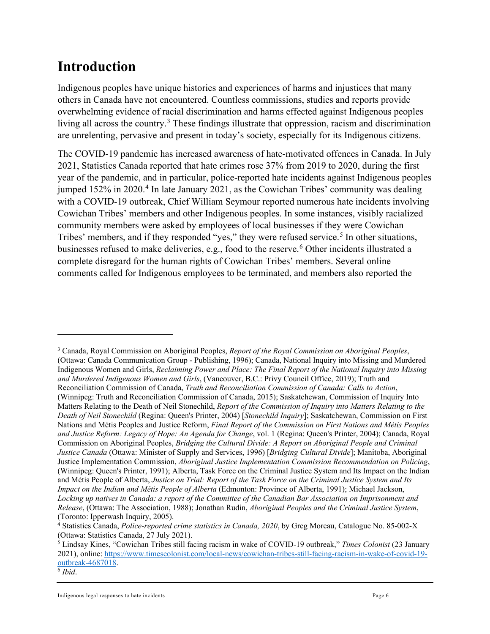# <span id="page-5-0"></span>**Introduction**

Indigenous peoples have unique histories and experiences of harms and injustices that many others in Canada have not encountered. Countless commissions, studies and reports provide overwhelming evidence of racial discrimination and harms effected against Indigenous peoples living all across the country.<sup>[3](#page-5-1)</sup> These findings illustrate that oppression, racism and discrimination are unrelenting, pervasive and present in today's society, especially for its Indigenous citizens.

The COVID-19 pandemic has increased awareness of hate-motivated offences in Canada. In July 2021, Statistics Canada reported that hate crimes rose 37% from 2019 to 2020, during the first year of the pandemic, and in particular, police-reported hate incidents against Indigenous peoples jumped 152% in 2020. [4](#page-5-2) In late January 2021, as the Cowichan Tribes' community was dealing with a COVID-19 outbreak, Chief William Seymour reported numerous hate incidents involving Cowichan Tribes' members and other Indigenous peoples. In some instances, visibly racialized community members were asked by employees of local businesses if they were Cowichan Tribes' members, and if they responded "yes," they were refused service.<sup>[5](#page-5-3)</sup> In other situations, businesses refused to make deliveries, e.g., food to the reserve.<sup>[6](#page-5-4)</sup> Other incidents illustrated a complete disregard for the human rights of Cowichan Tribes' members. Several online comments called for Indigenous employees to be terminated, and members also reported the

<span id="page-5-1"></span><sup>3</sup> Canada, Royal Commission on Aboriginal Peoples, *Report of the Royal Commission on Aboriginal Peoples*, (Ottawa: Canada Communication Group - Publishing, 1996); Canada, National Inquiry into Missing and Murdered Indigenous Women and Girls, *Reclaiming Power and Place: The Final Report of the National Inquiry into Missing and Murdered Indigenous Women and Girls*, (Vancouver, B.C.: Privy Council Office, 2019); Truth and Reconciliation Commission of Canada, *Truth and Reconciliation Commission of Canada: Calls to Action*, (Winnipeg: Truth and Reconciliation Commission of Canada, 2015); Saskatchewan, Commission of Inquiry Into Matters Relating to the Death of Neil Stonechild, *Report of the Commission of Inquiry into Matters Relating to the Death of Neil Stonechild* (Regina: Queen's Printer, 2004) [*Stonechild Inquiry*]; Saskatchewan, Commission on First Nations and Métis Peoples and Justice Reform, *Final Report of the Commission on First Nations and Métis Peoples and Justice Reform: Legacy of Hope: An Agenda for Change*, vol. 1 (Regina: Queen's Printer, 2004); Canada, Royal Commission on Aboriginal Peoples, *Bridging the Cultural Divide: A Report on Aboriginal People and Criminal Justice Canada* (Ottawa: Minister of Supply and Services, 1996) [*Bridging Cultural Divide*]; Manitoba, Aboriginal Justice Implementation Commission, *Aboriginal Justice Implementation Commission Recommendation on Policing*, (Winnipeg: Queen's Printer, 1991); Alberta, Task Force on the Criminal Justice System and Its Impact on the Indian and Métis People of Alberta, *Justice on Trial: Report of the Task Force on the Criminal Justice System and Its Impact on the Indian and Métis People of Alberta* (Edmonton: Province of Alberta, 1991); Michael Jackson, *Locking up natives in Canada: a report of the Committee of the Canadian Bar Association on Imprisonment and Release*, (Ottawa: The Association, 1988); Jonathan Rudin, *Aboriginal Peoples and the Criminal Justice System*, (Toronto: Ipperwash Inquiry, 2005).<br><sup>4</sup> Statistics Canada, *Police-reported crime statistics in Canada, 2020*, by Greg Moreau, Catalogue No. 85-002-X

<span id="page-5-2"></span><sup>(</sup>Ottawa: Statistics Canada, 27 July 2021).

<span id="page-5-3"></span><sup>5</sup> Lindsay Kines, "Cowichan Tribes still facing racism in wake of COVID-19 outbreak," *Times Colonist* (23 January 2021), online[: https://www.timescolonist.com/local-news/cowichan-tribes-still-facing-racism-in-wake-of-covid-19](https://www.timescolonist.com/local-news/cowichan-tribes-still-facing-racism-in-wake-of-covid-19-outbreak-4687018) [outbreak-4687018.](https://www.timescolonist.com/local-news/cowichan-tribes-still-facing-racism-in-wake-of-covid-19-outbreak-4687018)

<span id="page-5-4"></span><sup>6</sup> *Ibid*.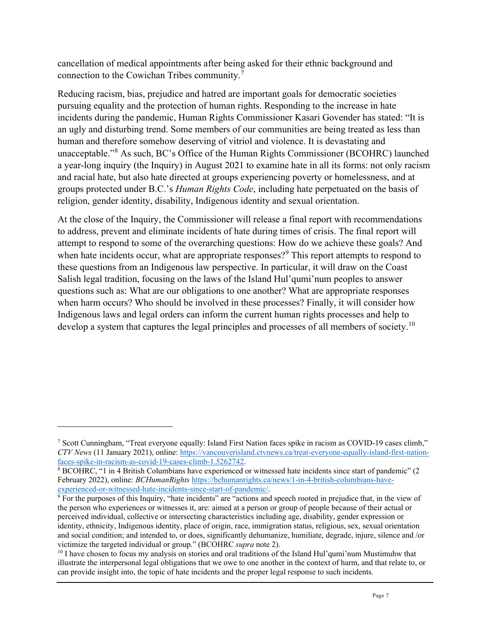cancellation of medical appointments after being asked for their ethnic background and connection to the Cowichan Tribes community.[7](#page-6-0)

Reducing racism, bias, prejudice and hatred are important goals for democratic societies pursuing equality and the protection of human rights. Responding to the increase in hate incidents during the pandemic, Human Rights Commissioner Kasari Govender has stated: "It is an ugly and disturbing trend. Some members of our communities are being treated as less than human and therefore somehow deserving of vitriol and violence. It is devastating and unacceptable."[8](#page-6-1) As such, BC's Office of the Human Rights Commissioner (BCOHRC) launched a year-long inquiry (the Inquiry) in August 2021 to examine hate in all its forms: not only racism and racial hate, but also hate directed at groups experiencing poverty or homelessness, and at groups protected under B.C.'s *Human Rights Code*, including hate perpetuated on the basis of religion, gender identity, disability, Indigenous identity and sexual orientation.

At the close of the Inquiry, the Commissioner will release a final report with recommendations to address, prevent and eliminate incidents of hate during times of crisis. The final report will attempt to respond to some of the overarching questions: How do we achieve these goals? And when hate incidents occur, what are appropriate responses?<sup>[9](#page-6-2)</sup> This report attempts to respond to these questions from an Indigenous law perspective. In particular, it will draw on the Coast Salish legal tradition, focusing on the laws of the Island Hul'qumi'num peoples to answer questions such as: What are our obligations to one another? What are appropriate responses when harm occurs? Who should be involved in these processes? Finally, it will consider how Indigenous laws and legal orders can inform the current human rights processes and help to develop a system that captures the legal principles and processes of all members of society.<sup>[10](#page-6-3)</sup>

<span id="page-6-0"></span><sup>7</sup> Scott Cunningham, "Treat everyone equally: Island First Nation faces spike in racism as COVID-19 cases climb," *CTV News* (11 January 2021), online: [https://vancouverisland.ctvnews.ca/treat-everyone-equally-island-first-nation](https://vancouverisland.ctvnews.ca/treat-everyone-equally-island-first-nation-faces-spike-in-racism-as-covid-19-cases-climb-1.5262742)[faces-spike-in-racism-as-covid-19-cases-climb-1.5262742.](https://vancouverisland.ctvnews.ca/treat-everyone-equally-island-first-nation-faces-spike-in-racism-as-covid-19-cases-climb-1.5262742)

<span id="page-6-1"></span><sup>8</sup> BCOHRC, "1 in 4 British Columbians have experienced or witnessed hate incidents since start of pandemic" (2 February 2022), online: *BCHumanRights* [https://bchumanrights.ca/news/1-in-4-british-columbians-have](https://bchumanrights.ca/news/1-in-4-british-columbians-have-experienced-or-witnessed-hate-incidents-since-start-of-pandemic/)[experienced-or-witnessed-hate-incidents-since-start-of-pandemic/.](https://bchumanrights.ca/news/1-in-4-british-columbians-have-experienced-or-witnessed-hate-incidents-since-start-of-pandemic/)

<span id="page-6-2"></span> $9$  For the purposes of this Inquiry, "hate incidents" are "actions and speech rooted in prejudice that, in the view of the person who experiences or witnesses it, are: aimed at a person or group of people because of their actual or perceived individual, collective or intersecting characteristics including age, disability, gender expression or identity, ethnicity, Indigenous identity, place of origin, race, immigration status, religious, sex, sexual orientation and social condition; and intended to, or does, significantly dehumanize, humiliate, degrade, injure, silence and /or victimize the targeted individual or group." (BCOHRC *supra* note 2).

<span id="page-6-3"></span><sup>&</sup>lt;sup>10</sup> I have chosen to focus my analysis on stories and oral traditions of the Island Hul'qumi'num Mustimuhw that illustrate the interpersonal legal obligations that we owe to one another in the context of harm, and that relate to, or can provide insight into, the topic of hate incidents and the proper legal response to such incidents.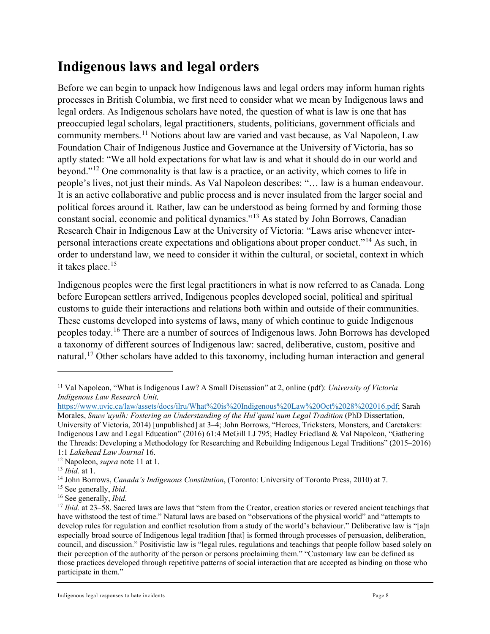# <span id="page-7-0"></span>**Indigenous laws and legal orders**

Before we can begin to unpack how Indigenous laws and legal orders may inform human rights processes in British Columbia, we first need to consider what we mean by Indigenous laws and legal orders. As Indigenous scholars have noted, the question of what is law is one that has preoccupied legal scholars, legal practitioners, students, politicians, government officials and community members.[11](#page-7-1) Notions about law are varied and vast because, as Val Napoleon, Law Foundation Chair of Indigenous Justice and Governance at the University of Victoria, has so aptly stated: "We all hold expectations for what law is and what it should do in our world and beyond."[12](#page-7-2) One commonality is that law is a practice, or an activity, which comes to life in people's lives, not just their minds. As Val Napoleon describes: "… law is a human endeavour. It is an active collaborative and public process and is never insulated from the larger social and political forces around it. Rather, law can be understood as being formed by and forming those constant social, economic and political dynamics."[13](#page-7-3) As stated by John Borrows, Canadian Research Chair in Indigenous Law at the University of Victoria: "Laws arise whenever interpersonal interactions create expectations and obligations about proper conduct."[14](#page-7-4) As such, in order to understand law, we need to consider it within the cultural, or societal, context in which it takes place.<sup>[15](#page-7-5)</sup>

Indigenous peoples were the first legal practitioners in what is now referred to as Canada. Long before European settlers arrived, Indigenous peoples developed social, political and spiritual customs to guide their interactions and relations both within and outside of their communities. These customs developed into systems of laws, many of which continue to guide Indigenous peoples today.[16](#page-7-6) There are a number of sources of Indigenous laws. John Borrows has developed a taxonomy of different sources of Indigenous law: sacred, deliberative, custom, positive and natural.<sup>[17](#page-7-7)</sup> Other scholars have added to this taxonomy, including human interaction and general

<span id="page-7-1"></span><sup>11</sup> Val Napoleon, "What is Indigenous Law? A Small Discussion" at 2, online (pdf): *University of Victoria Indigenous Law Research Unit,*

[https://www.uvic.ca/law/assets/docs/ilru/What%20is%20Indigenous%20Law%20Oct%2028%202016.pdf;](https://www.uvic.ca/law/assets/docs/ilru/What%20is%20Indigenous%20Law%20Oct%2028%202016.pdf) Sarah Morales, *Snuw'uyulh: Fostering an Understanding of the Hul'qumi'num Legal Tradition* (PhD Dissertation, University of Victoria, 2014) [unpublished] at 3–4; John Borrows, "Heroes, Tricksters, Monsters, and Caretakers: Indigenous Law and Legal Education" (2016) 61:4 McGill LJ 795; Hadley Friedland & Val Napoleon, "Gathering the Threads: Developing a Methodology for Researching and Rebuilding Indigenous Legal Traditions" (2015–2016) 1:1 *Lakehead Law Journal* 16.

<span id="page-7-2"></span><sup>12</sup> Napoleon, *supra* note 11 at 1.

<span id="page-7-3"></span><sup>13</sup> *Ibid.* at 1.

<span id="page-7-4"></span><sup>14</sup> John Borrows, *Canada's Indigenous Constitution*, (Toronto: University of Toronto Press, 2010) at 7.

<span id="page-7-5"></span><sup>15</sup> See generally, *Ibid*.

<span id="page-7-6"></span><sup>16</sup> See generally, *Ibid.* 

<span id="page-7-7"></span><sup>17</sup> *Ibid.* at 23–58. Sacred laws are laws that "stem from the Creator, creation stories or revered ancient teachings that have withstood the test of time." Natural laws are based on "observations of the physical world" and "attempts to develop rules for regulation and conflict resolution from a study of the world's behaviour." Deliberative law is "[a]n especially broad source of Indigenous legal tradition [that] is formed through processes of persuasion, deliberation, council, and discussion." Positivistic law is "legal rules, regulations and teachings that people follow based solely on their perception of the authority of the person or persons proclaiming them." "Customary law can be defined as those practices developed through repetitive patterns of social interaction that are accepted as binding on those who participate in them."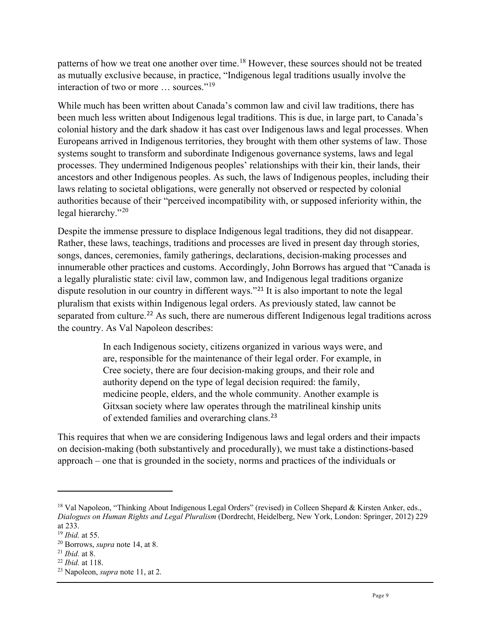patterns of how we treat one another over time.<sup>[18](#page-8-0)</sup> However, these sources should not be treated as mutually exclusive because, in practice, "Indigenous legal traditions usually involve the interaction of two or more ... sources."<sup>[19](#page-8-1)</sup>

While much has been written about Canada's common law and civil law traditions, there has been much less written about Indigenous legal traditions. This is due, in large part, to Canada's colonial history and the dark shadow it has cast over Indigenous laws and legal processes. When Europeans arrived in Indigenous territories, they brought with them other systems of law. Those systems sought to transform and subordinate Indigenous governance systems, laws and legal processes. They undermined Indigenous peoples' relationships with their kin, their lands, their ancestors and other Indigenous peoples. As such, the laws of Indigenous peoples, including their laws relating to societal obligations, were generally not observed or respected by colonial authorities because of their "perceived incompatibility with, or supposed inferiority within, the legal hierarchy."<sup>[20](#page-8-2)</sup>

Despite the immense pressure to displace Indigenous legal traditions, they did not disappear. Rather, these laws, teachings, traditions and processes are lived in present day through stories, songs, dances, ceremonies, family gatherings, declarations, decision-making processes and innumerable other practices and customs. Accordingly, John Borrows has argued that "Canada is a legally pluralistic state: civil law, common law, and Indigenous legal traditions organize dispute resolution in our country in different ways."<sup>[21](#page-8-3)</sup> It is also important to note the legal pluralism that exists within Indigenous legal orders. As previously stated, law cannot be separated from culture.<sup>[22](#page-8-4)</sup> As such, there are numerous different Indigenous legal traditions across the country. As Val Napoleon describes:

> In each Indigenous society, citizens organized in various ways were, and are, responsible for the maintenance of their legal order. For example, in Cree society, there are four decision-making groups, and their role and authority depend on the type of legal decision required: the family, medicine people, elders, and the whole community. Another example is Gitxsan society where law operates through the matrilineal kinship units of extended families and overarching clans.[23](#page-8-5)

This requires that when we are considering Indigenous laws and legal orders and their impacts on decision-making (both substantively and procedurally), we must take a distinctions-based approach – one that is grounded in the society, norms and practices of the individuals or

<span id="page-8-0"></span><sup>&</sup>lt;sup>18</sup> Val Napoleon, "Thinking About Indigenous Legal Orders" (revised) in Colleen Shepard & Kirsten Anker, eds., *Dialogues on Human Rights and Legal Pluralism* (Dordrecht, Heidelberg, New York, London: Springer, 2012) 229 at 233.

<span id="page-8-1"></span><sup>19</sup> *Ibid.* at 55.

<span id="page-8-2"></span><sup>20</sup> Borrows, *supra* note 14, at 8.

<span id="page-8-3"></span><sup>21</sup> *Ibid.* at 8.

<span id="page-8-4"></span><sup>22</sup> *Ibid.* at 118.

<span id="page-8-5"></span><sup>23</sup> Napoleon, *supra* note 11, at 2.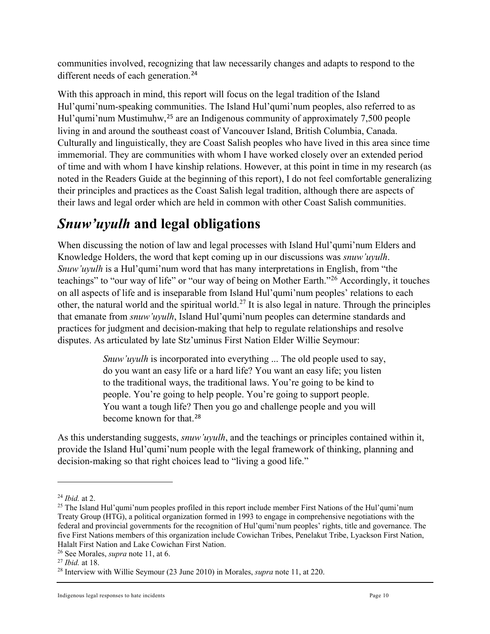communities involved, recognizing that law necessarily changes and adapts to respond to the different needs of each generation.<sup>[24](#page-9-1)</sup>

With this approach in mind, this report will focus on the legal tradition of the Island Hul'qumi'num-speaking communities. The Island Hul'qumi'num peoples, also referred to as Hul'qumi'num Mustimuhw,<sup>[25](#page-9-2)</sup> are an Indigenous community of approximately 7,500 people living in and around the southeast coast of Vancouver Island, British Columbia, Canada. Culturally and linguistically, they are Coast Salish peoples who have lived in this area since time immemorial. They are communities with whom I have worked closely over an extended period of time and with whom I have kinship relations. However, at this point in time in my research (as noted in the Readers Guide at the beginning of this report), I do not feel comfortable generalizing their principles and practices as the Coast Salish legal tradition, although there are aspects of their laws and legal order which are held in common with other Coast Salish communities.

# <span id="page-9-0"></span>*Snuw'uyulh* **and legal obligations**

When discussing the notion of law and legal processes with Island Hul'qumi'num Elders and Knowledge Holders, the word that kept coming up in our discussions was *snuw'uyulh*. *Snuw'uyulh* is a Hul'qumi'num word that has many interpretations in English, from "the teachings" to "our way of life" or "our way of being on Mother Earth."[26](#page-9-3) Accordingly, it touches on all aspects of life and is inseparable from Island Hul'qumi'num peoples' relations to each other, the natural world and the spiritual world.<sup>[27](#page-9-4)</sup> It is also legal in nature. Through the principles that emanate from *snuw'uyulh*, Island Hul'qumi'num peoples can determine standards and practices for judgment and decision-making that help to regulate relationships and resolve disputes. As articulated by late Stz'uminus First Nation Elder Willie Seymour:

> *Snuw'uyulh* is incorporated into everything ... The old people used to say, do you want an easy life or a hard life? You want an easy life; you listen to the traditional ways, the traditional laws. You're going to be kind to people. You're going to help people. You're going to support people. You want a tough life? Then you go and challenge people and you will become known for that.<sup>[28](#page-9-5)</sup>

As this understanding suggests, *snuw'uyulh*, and the teachings or principles contained within it, provide the Island Hul'qumi'num people with the legal framework of thinking, planning and decision-making so that right choices lead to "living a good life."

<span id="page-9-1"></span><sup>24</sup> *Ibid.* at 2.

<span id="page-9-2"></span><sup>&</sup>lt;sup>25</sup> The Island Hul'qumi'num peoples profiled in this report include member First Nations of the Hul'qumi'num Treaty Group (HTG), a political organization formed in 1993 to engage in comprehensive negotiations with the federal and provincial governments for the recognition of Hul'qumi'num peoples' rights, title and governance. The five First Nations members of this organization include Cowichan Tribes, Penelakut Tribe, Lyackson First Nation, Halalt First Nation and Lake Cowichan First Nation.

<span id="page-9-3"></span><sup>26</sup> See Morales, *supra* note 11, at 6.

<span id="page-9-4"></span><sup>27</sup> *Ibid.* at 18.

<span id="page-9-5"></span><sup>28</sup> Interview with Willie Seymour (23 June 2010) in Morales, *supra* note 11, at 220.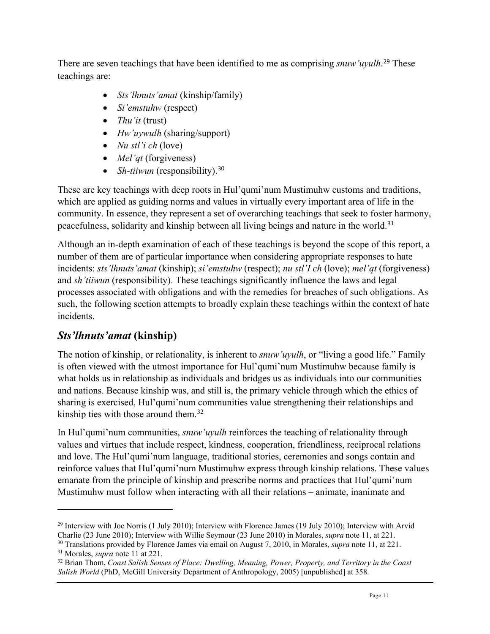There are seven teachings that have been identified to me as comprising *snuw'uyulh*. [29](#page-10-1) These teachings are:

- *Sts'lhnuts'amat* (kinship/family)
- *Si'emstuhw* (respect)
- *Thu'it* (trust)
- *Hw'uywulh* (sharing/support)
- *Nu stl'i ch* (love)
- *Mel'qt* (forgiveness)
- *Sh-tiiwun* (responsibility).<sup>[30](#page-10-2)</sup>

These are key teachings with deep roots in Hul'qumi'num Mustimuhw customs and traditions, which are applied as guiding norms and values in virtually every important area of life in the community. In essence, they represent a set of overarching teachings that seek to foster harmony, peacefulness, solidarity and kinship between all living beings and nature in the world.[31](#page-10-3)

Although an in-depth examination of each of these teachings is beyond the scope of this report, a number of them are of particular importance when considering appropriate responses to hate incidents: *sts'lhnuts'amat* (kinship); *si'emstuhw* (respect); *nu stl'I ch* (love); *mel'qt* (forgiveness) and *sh'tiiwun* (responsibility). These teachings significantly influence the laws and legal processes associated with obligations and with the remedies for breaches of such obligations. As such, the following section attempts to broadly explain these teachings within the context of hate incidents.

# <span id="page-10-0"></span>*Sts'lhnuts'amat* **(kinship)**

The notion of kinship, or relationality, is inherent to *snuw'uyulh*, or "living a good life." Family is often viewed with the utmost importance for Hul'qumi'num Mustimuhw because family is what holds us in relationship as individuals and bridges us as individuals into our communities and nations. Because kinship was, and still is, the primary vehicle through which the ethics of sharing is exercised, Hul'qumi'num communities value strengthening their relationships and kinship ties with those around them. $32$ 

In Hul'qumi'num communities, *snuw'uyulh* reinforces the teaching of relationality through values and virtues that include respect, kindness, cooperation, friendliness, reciprocal relations and love. The Hul'qumi'num language, traditional stories, ceremonies and songs contain and reinforce values that Hul'qumi'num Mustimuhw express through kinship relations. These values emanate from the principle of kinship and prescribe norms and practices that Hul'qumi'num Mustimuhw must follow when interacting with all their relations – animate, inanimate and

<span id="page-10-1"></span><sup>&</sup>lt;sup>29</sup> Interview with Joe Norris (1 July 2010); Interview with Florence James (19 July 2010); Interview with Arvid

<span id="page-10-2"></span>Charlie (23 June 2010); Interview with Willie Seymour (23 June 2010) in Morales, *supra* note 11, at 221.<br><sup>30</sup> Translations provided by Florence James via email on August 7, 2010, in Morales, *supra* note 11, at 221.<br><sup>31</sup>

<span id="page-10-4"></span><span id="page-10-3"></span><sup>32</sup> Brian Thom, *Coast Salish Senses of Place: Dwelling, Meaning, Power, Property, and Territory in the Coast Salish World* (PhD, McGill University Department of Anthropology, 2005) [unpublished] at 358.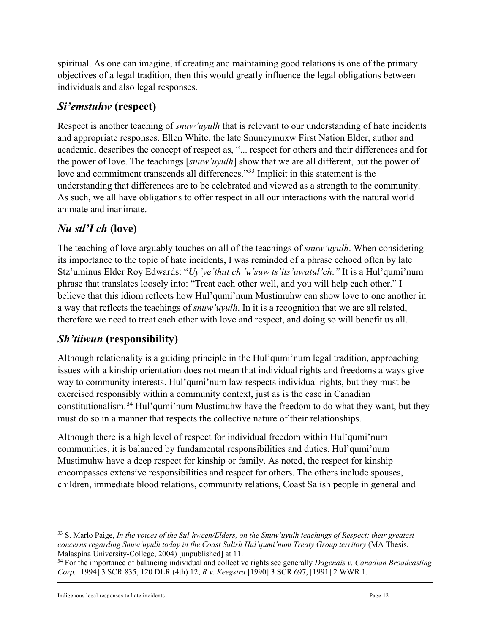spiritual. As one can imagine, if creating and maintaining good relations is one of the primary objectives of a legal tradition, then this would greatly influence the legal obligations between individuals and also legal responses.

### <span id="page-11-0"></span>*Si'emstuhw* **(respect)**

Respect is another teaching of *snuw'uyulh* that is relevant to our understanding of hate incidents and appropriate responses. Ellen White, the late Snuneymuxw First Nation Elder, author and academic, describes the concept of respect as, "... respect for others and their differences and for the power of love. The teachings [*snuw'uyulh*] show that we are all different, but the power of love and commitment transcends all differences."<sup>[33](#page-11-3)</sup> Implicit in this statement is the understanding that differences are to be celebrated and viewed as a strength to the community. As such, we all have obligations to offer respect in all our interactions with the natural world – animate and inanimate.

# <span id="page-11-1"></span>*Nu stl'I ch* **(love)**

The teaching of love arguably touches on all of the teachings of *snuw'uyulh*. When considering its importance to the topic of hate incidents, I was reminded of a phrase echoed often by late Stz'uminus Elder Roy Edwards: "*Uy'ye'thut ch 'u'suw ts'its'uwatul'ch*.*"* It is a Hul'qumi'num phrase that translates loosely into: "Treat each other well, and you will help each other." I believe that this idiom reflects how Hul'qumi'num Mustimuhw can show love to one another in a way that reflects the teachings of *snuw'uyulh*. In it is a recognition that we are all related, therefore we need to treat each other with love and respect, and doing so will benefit us all.

#### <span id="page-11-2"></span>*Sh'tiiwun* **(responsibility)**

Although relationality is a guiding principle in the Hul'qumi'num legal tradition, approaching issues with a kinship orientation does not mean that individual rights and freedoms always give way to community interests. Hul'qumi'num law respects individual rights, but they must be exercised responsibly within a community context, just as is the case in Canadian constitutionalism.[34](#page-11-4) Hul'qumi'num Mustimuhw have the freedom to do what they want, but they must do so in a manner that respects the collective nature of their relationships.

Although there is a high level of respect for individual freedom within Hul'qumi'num communities, it is balanced by fundamental responsibilities and duties. Hul'qumi'num Mustimuhw have a deep respect for kinship or family. As noted, the respect for kinship encompasses extensive responsibilities and respect for others. The others include spouses, children, immediate blood relations, community relations, Coast Salish people in general and

<span id="page-11-3"></span><sup>33</sup> S. Marlo Paige, *In the voices of the Sul-hween/Elders, on the Snuw'uyulh teachings of Respect: their greatest concerns regarding Snuw'uyulh today in the Coast Salish Hul'qumi'num Treaty Group territory* (MA Thesis, Malaspina University-College, 2004) [unpublished] at 11.

<span id="page-11-4"></span><sup>34</sup> For the importance of balancing individual and collective rights see generally *Dagenais v. Canadian Broadcasting Corp.* [1994] 3 SCR 835, 120 DLR (4th) 12; *R v. Keegstra* [1990] 3 SCR 697, [1991] 2 WWR 1.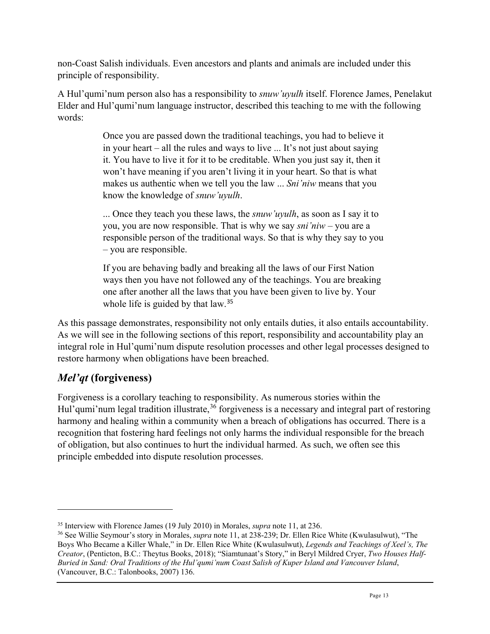non-Coast Salish individuals. Even ancestors and plants and animals are included under this principle of responsibility.

A Hul'qumi'num person also has a responsibility to *snuw'uyulh* itself. Florence James, Penelakut Elder and Hul'qumi'num language instructor, described this teaching to me with the following words:

> Once you are passed down the traditional teachings, you had to believe it in your heart – all the rules and ways to live ... It's not just about saying it. You have to live it for it to be creditable. When you just say it, then it won't have meaning if you aren't living it in your heart. So that is what makes us authentic when we tell you the law ... *Sni'niw* means that you know the knowledge of *snuw'uyulh*.

> ... Once they teach you these laws, the *snuw'uyulh*, as soon as I say it to you, you are now responsible. That is why we say *sni'niw* – you are a responsible person of the traditional ways. So that is why they say to you – you are responsible.

> If you are behaving badly and breaking all the laws of our First Nation ways then you have not followed any of the teachings. You are breaking one after another all the laws that you have been given to live by. Your whole life is guided by that law.<sup>[35](#page-12-1)</sup>

As this passage demonstrates, responsibility not only entails duties, it also entails accountability. As we will see in the following sections of this report, responsibility and accountability play an integral role in Hul'qumi'num dispute resolution processes and other legal processes designed to restore harmony when obligations have been breached.

# <span id="page-12-0"></span>*Mel'qt* **(forgiveness)**

Forgiveness is a corollary teaching to responsibility. As numerous stories within the Hul'qumi'num legal tradition illustrate,<sup>[36](#page-12-2)</sup> forgiveness is a necessary and integral part of restoring harmony and healing within a community when a breach of obligations has occurred. There is a recognition that fostering hard feelings not only harms the individual responsible for the breach of obligation, but also continues to hurt the individual harmed. As such, we often see this principle embedded into dispute resolution processes.

<span id="page-12-2"></span><span id="page-12-1"></span><sup>&</sup>lt;sup>35</sup> Interview with Florence James (19 July 2010) in Morales, *supra* note 11, at 236.<br><sup>36</sup> See Willie Seymour's story in Morales, *supra* note 11, at 238-239; Dr. Ellen Rice White (Kwulasulwut), "The Boys Who Became a Killer Whale," in Dr. Ellen Rice White (Kwulasulwut), *Legends and Teachings of Xeel's, The Creator*, (Penticton, B.C.: Theytus Books, 2018); "Siamtunaat's Story," in Beryl Mildred Cryer, *Two Houses Half-Buried in Sand: Oral Traditions of the Hul'qumi'num Coast Salish of Kuper Island and Vancouver Island*, (Vancouver, B.C.: Talonbooks, 2007) 136.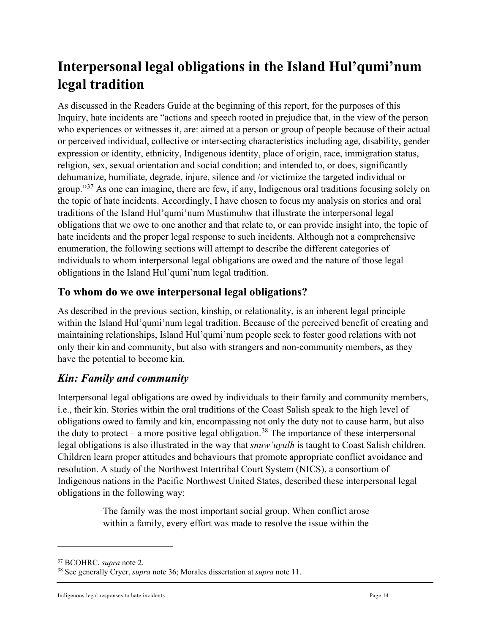# <span id="page-13-0"></span>**Interpersonal legal obligations in the Island Hul'qumi'num legal tradition**

As discussed in the Readers Guide at the beginning of this report, for the purposes of this Inquiry, hate incidents are "actions and speech rooted in prejudice that, in the view of the person who experiences or witnesses it, are: aimed at a person or group of people because of their actual or perceived individual, collective or intersecting characteristics including age, disability, gender expression or identity, ethnicity, Indigenous identity, place of origin, race, immigration status, religion, sex, sexual orientation and social condition; and intended to, or does, significantly dehumanize, humiliate, degrade, injure, silence and /or victimize the targeted individual or group."<sup>[37](#page-13-3)</sup> As one can imagine, there are few, if any, Indigenous oral traditions focusing solely on the topic of hate incidents. Accordingly, I have chosen to focus my analysis on stories and oral traditions of the Island Hul'qumi'num Mustimuhw that illustrate the interpersonal legal obligations that we owe to one another and that relate to, or can provide insight into, the topic of hate incidents and the proper legal response to such incidents. Although not a comprehensive enumeration, the following sections will attempt to describe the different categories of individuals to whom interpersonal legal obligations are owed and the nature of those legal obligations in the Island Hul'qumi'num legal tradition.

# <span id="page-13-1"></span>**To whom do we owe interpersonal legal obligations?**

As described in the previous section, kinship, or relationality, is an inherent legal principle within the Island Hul'qumi'num legal tradition. Because of the perceived benefit of creating and maintaining relationships, Island Hul'qumi'num people seek to foster good relations with not only their kin and community, but also with strangers and non-community members, as they have the potential to become kin.

# <span id="page-13-2"></span>*Kin: Family and community*

Interpersonal legal obligations are owed by individuals to their family and community members, i.e., their kin. Stories within the oral traditions of the Coast Salish speak to the high level of obligations owed to family and kin, encompassing not only the duty not to cause harm, but also the duty to protect – a more positive legal obligation.<sup>[38](#page-13-4)</sup> The importance of these interpersonal legal obligations is also illustrated in the way that *snuw'uyulh* is taught to Coast Salish children. Children learn proper attitudes and behaviours that promote appropriate conflict avoidance and resolution. A study of the Northwest Intertribal Court System (NICS), a consortium of Indigenous nations in the Pacific Northwest United States, described these interpersonal legal obligations in the following way:

> The family was the most important social group. When conflict arose within a family, every effort was made to resolve the issue within the

<span id="page-13-3"></span><sup>37</sup> BCOHRC, *supra* note 2.

<span id="page-13-4"></span><sup>38</sup> See generally Cryer, *supra* note 36; Morales dissertation at *supra* note 11.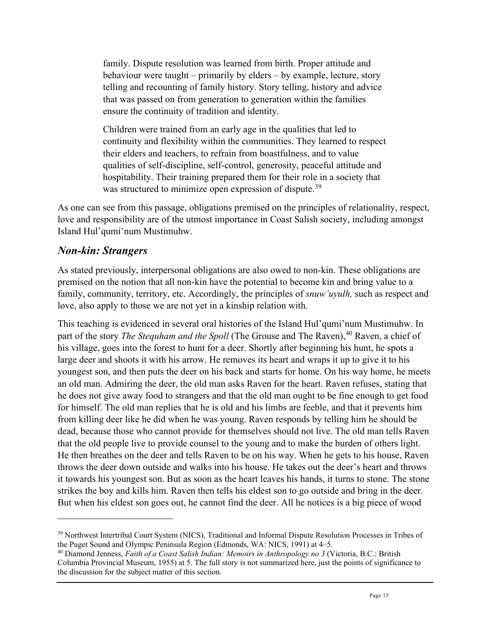family. Dispute resolution was learned from birth. Proper attitude and behaviour were taught – primarily by elders – by example, lecture, story telling and recounting of family history. Story telling, history and advice that was passed on from generation to generation within the families ensure the continuity of tradition and identity.

Children were trained from an early age in the qualities that led to continuity and flexibility within the communities. They learned to respect their elders and teachers, to refrain from boastfulness, and to value qualities of self-discipline, self-control, generosity, peaceful attitude and hospitability. Their training prepared them for their role in a society that was structured to minimize open expression of dispute.<sup>[39](#page-14-1)</sup>

As one can see from this passage, obligations premised on the principles of relationality, respect, love and responsibility are of the utmost importance in Coast Salish society, including amongst Island Hul'qumi'num Mustimuhw.

#### <span id="page-14-0"></span>*Non-kin: Strangers*

As stated previously, interpersonal obligations are also owed to non-kin. These obligations are premised on the notion that all non-kin have the potential to become kin and bring value to a family, community, territory, etc. Accordingly, the principles of *snuw'uyulh,* such as respect and love, also apply to those we are not yet in a kinship relation with.

This teaching is evidenced in several oral histories of the Island Hul'qumi'num Mustimuhw. In part of the story *The Stequham and the Spoll* (The Grouse and The Raven), [40](#page-14-2) Raven, a chief of his village, goes into the forest to hunt for a deer. Shortly after beginning his hunt, he spots a large deer and shoots it with his arrow. He removes its heart and wraps it up to give it to his youngest son, and then puts the deer on his back and starts for home. On his way home, he meets an old man. Admiring the deer, the old man asks Raven for the heart. Raven refuses, stating that he does not give away food to strangers and that the old man ought to be fine enough to get food for himself. The old man replies that he is old and his limbs are feeble, and that it prevents him from killing deer like he did when he was young. Raven responds by telling him he should be dead, because those who cannot provide for themselves should not live. The old man tells Raven that the old people live to provide counsel to the young and to make the burden of others light. He then breathes on the deer and tells Raven to be on his way. When he gets to his house, Raven throws the deer down outside and walks into his house. He takes out the deer's heart and throws it towards his youngest son. But as soon as the heart leaves his hands, it turns to stone. The stone strikes the boy and kills him. Raven then tells his eldest son to go outside and bring in the deer. But when his eldest son goes out, he cannot find the deer. All he notices is a big piece of wood

<span id="page-14-1"></span><sup>&</sup>lt;sup>39</sup> Northwest Intertribal Court System (NICS), Traditional and Informal Dispute Resolution Processes in Tribes of the Puget Sound and Olympic Peninsula Region (Edmonds, WA: NICS, 1991) at 4–5.

<span id="page-14-2"></span><sup>40</sup> Diamond Jenness, *Faith of a Coast Salish Indian: Memoirs in Anthropology no 3* (Victoria, B.C.: British Columbia Provincial Museum, 1955) at 5. The full story is not summarized here, just the points of significance to the discussion for the subject matter of this section.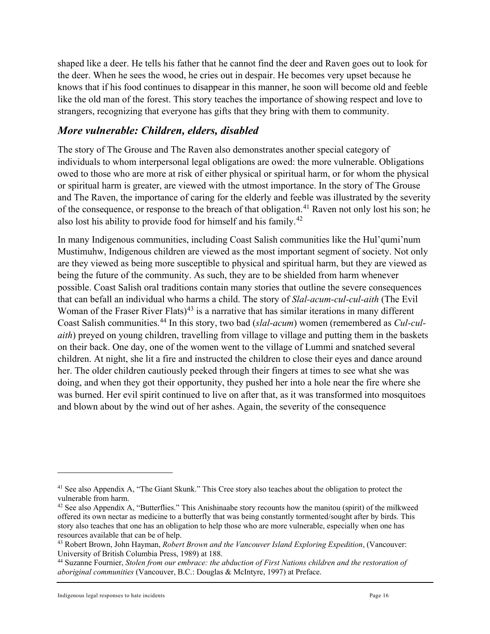shaped like a deer. He tells his father that he cannot find the deer and Raven goes out to look for the deer. When he sees the wood, he cries out in despair. He becomes very upset because he knows that if his food continues to disappear in this manner, he soon will become old and feeble like the old man of the forest. This story teaches the importance of showing respect and love to strangers, recognizing that everyone has gifts that they bring with them to community.

#### <span id="page-15-0"></span>*More vulnerable: Children, elders, disabled*

The story of The Grouse and The Raven also demonstrates another special category of individuals to whom interpersonal legal obligations are owed: the more vulnerable. Obligations owed to those who are more at risk of either physical or spiritual harm, or for whom the physical or spiritual harm is greater, are viewed with the utmost importance. In the story of The Grouse and The Raven, the importance of caring for the elderly and feeble was illustrated by the severity of the consequence, or response to the breach of that obligation.<sup>[41](#page-15-1)</sup> Raven not only lost his son; he also lost his ability to provide food for himself and his family.[42](#page-15-2)

In many Indigenous communities, including Coast Salish communities like the Hul'qumi'num Mustimuhw, Indigenous children are viewed as the most important segment of society. Not only are they viewed as being more susceptible to physical and spiritual harm, but they are viewed as being the future of the community. As such, they are to be shielded from harm whenever possible. Coast Salish oral traditions contain many stories that outline the severe consequences that can befall an individual who harms a child. The story of *Slal-acum-cul-cul-aith* (The Evil Woman of the Fraser River Flats)<sup>[43](#page-15-3)</sup> is a narrative that has similar iterations in many different Coast Salish communities.[44](#page-15-4) In this story, two bad (*slal-acum*) women (remembered as *Cul-culaith*) preyed on young children, travelling from village to village and putting them in the baskets on their back. One day, one of the women went to the village of Lummi and snatched several children. At night, she lit a fire and instructed the children to close their eyes and dance around her. The older children cautiously peeked through their fingers at times to see what she was doing, and when they got their opportunity, they pushed her into a hole near the fire where she was burned. Her evil spirit continued to live on after that, as it was transformed into mosquitoes and blown about by the wind out of her ashes. Again, the severity of the consequence

Indigenous legal responses to hate incidents **Page 16** and  $P$  and  $P$  and  $P$  and  $P$  and  $P$  and  $P$  and  $P$  and  $P$  and  $P$  and  $P$  and  $P$  and  $P$  and  $P$  and  $P$  and  $P$  and  $P$  and  $P$  and  $P$  and  $P$  and  $P$  and  $P$ 

<span id="page-15-1"></span><sup>&</sup>lt;sup>41</sup> See also Appendix A, "The Giant Skunk." This Cree story also teaches about the obligation to protect the vulnerable from harm.

<span id="page-15-2"></span> $42$  See also Appendix A, "Butterflies." This Anishinaabe story recounts how the manitou (spirit) of the milkweed offered its own nectar as medicine to a butterfly that was being constantly tormented/sought after by birds. This story also teaches that one has an obligation to help those who are more vulnerable, especially when one has resources available that can be of help.

<span id="page-15-3"></span><sup>43</sup> Robert Brown, John Hayman, *Robert Brown and the Vancouver Island Exploring Expedition*, (Vancouver:

<span id="page-15-4"></span><sup>&</sup>lt;sup>44</sup> Suzanne Fournier, *Stolen from our embrace: the abduction of First Nations children and the restoration of aboriginal communities* (Vancouver, B.C.: Douglas & McIntyre, 1997) at Preface.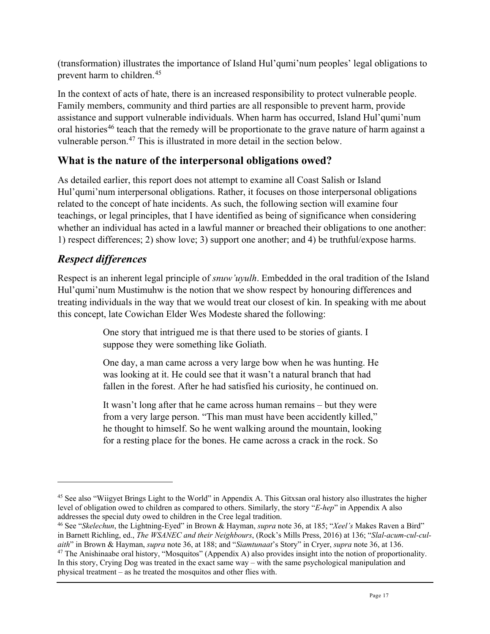(transformation) illustrates the importance of Island Hul'qumi'num peoples' legal obligations to prevent harm to children.[45](#page-16-2)

In the context of acts of hate, there is an increased responsibility to protect vulnerable people. Family members, community and third parties are all responsible to prevent harm, provide assistance and support vulnerable individuals. When harm has occurred, Island Hul'qumi'num oral histories<sup>[46](#page-16-3)</sup> teach that the remedy will be proportionate to the grave nature of harm against a vulnerable person.<sup>[47](#page-16-4)</sup> This is illustrated in more detail in the section below.

# <span id="page-16-0"></span>**What is the nature of the interpersonal obligations owed?**

As detailed earlier, this report does not attempt to examine all Coast Salish or Island Hul'qumi'num interpersonal obligations. Rather, it focuses on those interpersonal obligations related to the concept of hate incidents. As such, the following section will examine four teachings, or legal principles, that I have identified as being of significance when considering whether an individual has acted in a lawful manner or breached their obligations to one another: 1) respect differences; 2) show love; 3) support one another; and 4) be truthful/expose harms.

# <span id="page-16-1"></span>*Respect differences*

Respect is an inherent legal principle of *snuw'uyulh*. Embedded in the oral tradition of the Island Hul'qumi'num Mustimuhw is the notion that we show respect by honouring differences and treating individuals in the way that we would treat our closest of kin. In speaking with me about this concept, late Cowichan Elder Wes Modeste shared the following:

> One story that intrigued me is that there used to be stories of giants. I suppose they were something like Goliath.

One day, a man came across a very large bow when he was hunting. He was looking at it. He could see that it wasn't a natural branch that had fallen in the forest. After he had satisfied his curiosity, he continued on.

It wasn't long after that he came across human remains – but they were from a very large person. "This man must have been accidently killed," he thought to himself. So he went walking around the mountain, looking for a resting place for the bones. He came across a crack in the rock. So

<span id="page-16-3"></span><sup>46</sup> See "*Skelechun*, the Lightning-Eyed" in Brown & Hayman, *supra* note 36, at 185; "*Xeel's* Makes Raven a Bird" in Barnett Richling, ed., *The WSANEC and their Neighbours*, (Rock's Mills Press, 2016) at 136; "*Slal-acum-cul-cul-*<sup>47</sup> The Anishinaabe oral history, "Mosquitos" (Appendix A) also provides insight into the notion of proportionality. In this story, Crying Dog was treated in the exact same way – with the same psychological manipulation and

<span id="page-16-4"></span>physical treatment – as he treated the mosquitos and other flies with.

<span id="page-16-2"></span><sup>&</sup>lt;sup>45</sup> See also "Wiigyet Brings Light to the World" in Appendix A. This Gitxsan oral history also illustrates the higher level of obligation owed to children as compared to others. Similarly, the story "*E-hep*" in Appendix A also addresses the special duty owed to children in the Cree legal tradition.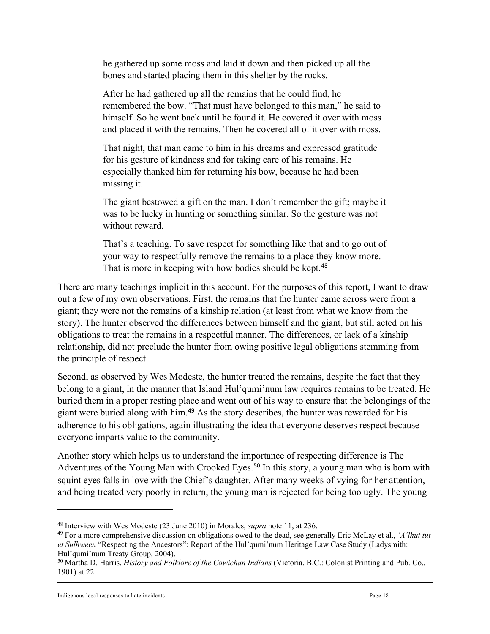he gathered up some moss and laid it down and then picked up all the bones and started placing them in this shelter by the rocks.

After he had gathered up all the remains that he could find, he remembered the bow. "That must have belonged to this man," he said to himself. So he went back until he found it. He covered it over with moss and placed it with the remains. Then he covered all of it over with moss.

That night, that man came to him in his dreams and expressed gratitude for his gesture of kindness and for taking care of his remains. He especially thanked him for returning his bow, because he had been missing it.

The giant bestowed a gift on the man. I don't remember the gift; maybe it was to be lucky in hunting or something similar. So the gesture was not without reward.

That's a teaching. To save respect for something like that and to go out of your way to respectfully remove the remains to a place they know more. That is more in keeping with how bodies should be kept.<sup>[48](#page-17-0)</sup>

There are many teachings implicit in this account. For the purposes of this report, I want to draw out a few of my own observations. First, the remains that the hunter came across were from a giant; they were not the remains of a kinship relation (at least from what we know from the story). The hunter observed the differences between himself and the giant, but still acted on his obligations to treat the remains in a respectful manner. The differences, or lack of a kinship relationship, did not preclude the hunter from owing positive legal obligations stemming from the principle of respect.

Second, as observed by Wes Modeste, the hunter treated the remains, despite the fact that they belong to a giant, in the manner that Island Hul'qumi'num law requires remains to be treated. He buried them in a proper resting place and went out of his way to ensure that the belongings of the giant were buried along with him.[49](#page-17-1) As the story describes, the hunter was rewarded for his adherence to his obligations, again illustrating the idea that everyone deserves respect because everyone imparts value to the community.

Another story which helps us to understand the importance of respecting difference is The Adventures of the Young Man with Crooked Eyes.<sup>[50](#page-17-2)</sup> In this story, a young man who is born with squint eyes falls in love with the Chief's daughter. After many weeks of vying for her attention, and being treated very poorly in return, the young man is rejected for being too ugly. The young

<span id="page-17-1"></span><span id="page-17-0"></span><sup>48</sup> Interview with Wes Modeste (23 June 2010) in Morales, *supra* note 11, at 236. 49 For a more comprehensive discussion on obligations owed to the dead, see generally Eric McLay et al., *'A'lhut tut et Sulhween* "Respecting the Ancestors": Report of the Hul'qumi'num Heritage Law Case Study (Ladysmith: Hul'qumi'num Treaty Group, 2004).

<span id="page-17-2"></span><sup>50</sup> Martha D. Harris, *History and Folklore of the Cowichan Indians* (Victoria, B.C.: Colonist Printing and Pub. Co., 1901) at 22.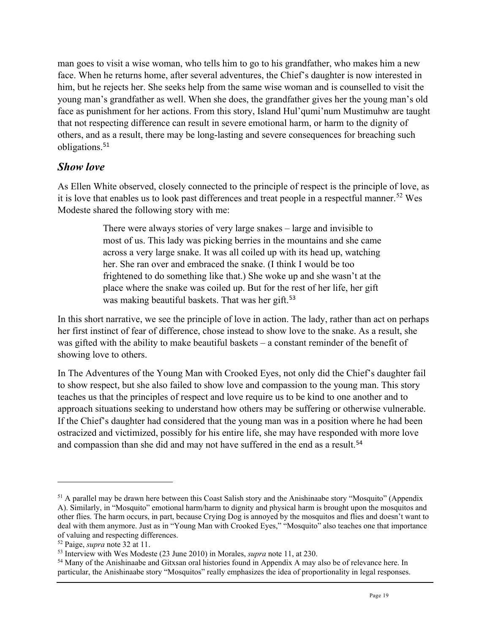man goes to visit a wise woman, who tells him to go to his grandfather, who makes him a new face. When he returns home, after several adventures, the Chief's daughter is now interested in him, but he rejects her. She seeks help from the same wise woman and is counselled to visit the young man's grandfather as well. When she does, the grandfather gives her the young man's old face as punishment for her actions. From this story, Island Hul'qumi'num Mustimuhw are taught that not respecting difference can result in severe emotional harm, or harm to the dignity of others, and as a result, there may be long-lasting and severe consequences for breaching such obligations.[51](#page-18-1)

#### <span id="page-18-0"></span>*Show love*

As Ellen White observed, closely connected to the principle of respect is the principle of love, as it is love that enables us to look past differences and treat people in a respectful manner.<sup>[52](#page-18-2)</sup> Wes Modeste shared the following story with me:

> There were always stories of very large snakes – large and invisible to most of us. This lady was picking berries in the mountains and she came across a very large snake. It was all coiled up with its head up, watching her. She ran over and embraced the snake. (I think I would be too frightened to do something like that.) She woke up and she wasn't at the place where the snake was coiled up. But for the rest of her life, her gift was making beautiful baskets. That was her gift.<sup>[53](#page-18-3)</sup>

In this short narrative, we see the principle of love in action. The lady, rather than act on perhaps her first instinct of fear of difference, chose instead to show love to the snake. As a result, she was gifted with the ability to make beautiful baskets – a constant reminder of the benefit of showing love to others.

In The Adventures of the Young Man with Crooked Eyes, not only did the Chief's daughter fail to show respect, but she also failed to show love and compassion to the young man. This story teaches us that the principles of respect and love require us to be kind to one another and to approach situations seeking to understand how others may be suffering or otherwise vulnerable. If the Chief's daughter had considered that the young man was in a position where he had been ostracized and victimized, possibly for his entire life, she may have responded with more love and compassion than she did and may not have suffered in the end as a result.<sup>[54](#page-18-4)</sup>

<span id="page-18-1"></span><sup>&</sup>lt;sup>51</sup> A parallel may be drawn here between this Coast Salish story and the Anishinaabe story "Mosquito" (Appendix A). Similarly, in "Mosquito" emotional harm/harm to dignity and physical harm is brought upon the mosquitos and other flies. The harm occurs, in part, because Crying Dog is annoyed by the mosquitos and flies and doesn't want to deal with them anymore. Just as in "Young Man with Crooked Eyes," "Mosquito" also teaches one that importance of valuing and respecting differences.

<span id="page-18-3"></span><span id="page-18-2"></span><sup>&</sup>lt;sup>52</sup> Paige, *supra* note 32 at 11.<br><sup>53</sup> Interview with Wes Modeste (23 June 2010) in Morales, *supra* note 11, at 230.

<span id="page-18-4"></span><sup>&</sup>lt;sup>54</sup> Many of the Anishinaabe and Gitxsan oral histories found in Appendix A may also be of relevance here. In particular, the Anishinaabe story "Mosquitos" really emphasizes the idea of proportionality in legal responses.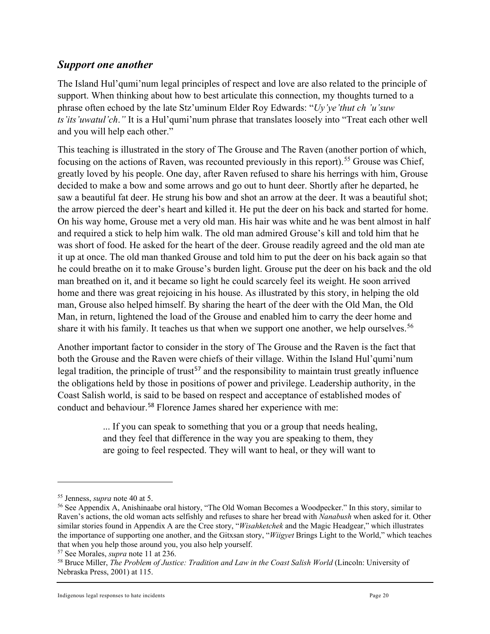#### <span id="page-19-0"></span>*Support one another*

The Island Hul'qumi'num legal principles of respect and love are also related to the principle of support. When thinking about how to best articulate this connection, my thoughts turned to a phrase often echoed by the late Stz'uminum Elder Roy Edwards: "*Uy'ye'thut ch 'u'suw ts'its'uwatul'ch*.*"* It is a Hul'qumi'num phrase that translates loosely into "Treat each other well and you will help each other."

This teaching is illustrated in the story of The Grouse and The Raven (another portion of which, focusing on the actions of Raven, was recounted previously in this report).<sup>[55](#page-19-1)</sup> Grouse was Chief, greatly loved by his people. One day, after Raven refused to share his herrings with him, Grouse decided to make a bow and some arrows and go out to hunt deer. Shortly after he departed, he saw a beautiful fat deer. He strung his bow and shot an arrow at the deer. It was a beautiful shot; the arrow pierced the deer's heart and killed it. He put the deer on his back and started for home. On his way home, Grouse met a very old man. His hair was white and he was bent almost in half and required a stick to help him walk. The old man admired Grouse's kill and told him that he was short of food. He asked for the heart of the deer. Grouse readily agreed and the old man ate it up at once. The old man thanked Grouse and told him to put the deer on his back again so that he could breathe on it to make Grouse's burden light. Grouse put the deer on his back and the old man breathed on it, and it became so light he could scarcely feel its weight. He soon arrived home and there was great rejoicing in his house. As illustrated by this story, in helping the old man, Grouse also helped himself. By sharing the heart of the deer with the Old Man, the Old Man, in return, lightened the load of the Grouse and enabled him to carry the deer home and share it with his family. It teaches us that when we support one another, we help ourselves.<sup>[56](#page-19-2)</sup>

Another important factor to consider in the story of The Grouse and the Raven is the fact that both the Grouse and the Raven were chiefs of their village. Within the Island Hul'qumi'num legal tradition, the principle of trust<sup>[57](#page-19-3)</sup> and the responsibility to maintain trust greatly influence the obligations held by those in positions of power and privilege. Leadership authority, in the Coast Salish world, is said to be based on respect and acceptance of established modes of conduct and behaviour.[58](#page-19-4) Florence James shared her experience with me:

> ... If you can speak to something that you or a group that needs healing, and they feel that difference in the way you are speaking to them, they are going to feel respected. They will want to heal, or they will want to

<span id="page-19-1"></span><sup>55</sup> Jenness, *supra* note 40 at 5.

<span id="page-19-2"></span><sup>56</sup> See Appendix A, Anishinaabe oral history, "The Old Woman Becomes a Woodpecker." In this story, similar to Raven's actions, the old woman acts selfishly and refuses to share her bread with *Nanabush* when asked for it. Other similar stories found in Appendix A are the Cree story, "*Wisahketchek* and the Magic Headgear," which illustrates the importance of supporting one another, and the Gitxsan story, "*Wiigyet* Brings Light to the World," which teaches that when you help those around you, you also help yourself.

<span id="page-19-3"></span><sup>57</sup> See Morales, *supra* note 11 at 236.

<span id="page-19-4"></span><sup>58</sup> Bruce Miller, *The Problem of Justice: Tradition and Law in the Coast Salish World* (Lincoln: University of Nebraska Press, 2001) at 115.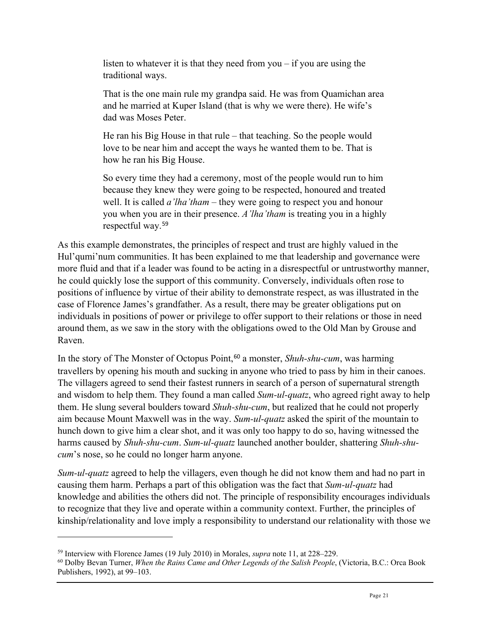listen to whatever it is that they need from you – if you are using the traditional ways.

That is the one main rule my grandpa said. He was from Quamichan area and he married at Kuper Island (that is why we were there). He wife's dad was Moses Peter.

He ran his Big House in that rule – that teaching. So the people would love to be near him and accept the ways he wanted them to be. That is how he ran his Big House.

So every time they had a ceremony, most of the people would run to him because they knew they were going to be respected, honoured and treated well. It is called *a'lha'tham* – they were going to respect you and honour you when you are in their presence. *A'lha'tham* is treating you in a highly respectful way.[59](#page-20-0)

As this example demonstrates, the principles of respect and trust are highly valued in the Hul'qumi'num communities. It has been explained to me that leadership and governance were more fluid and that if a leader was found to be acting in a disrespectful or untrustworthy manner, he could quickly lose the support of this community. Conversely, individuals often rose to positions of influence by virtue of their ability to demonstrate respect, as was illustrated in the case of Florence James's grandfather. As a result, there may be greater obligations put on individuals in positions of power or privilege to offer support to their relations or those in need around them, as we saw in the story with the obligations owed to the Old Man by Grouse and Raven.

In the story of The Monster of Octopus Point,<sup>[60](#page-20-1)</sup> a monster, *Shuh-shu-cum*, was harming travellers by opening his mouth and sucking in anyone who tried to pass by him in their canoes. The villagers agreed to send their fastest runners in search of a person of supernatural strength and wisdom to help them. They found a man called *Sum-ul-quatz*, who agreed right away to help them. He slung several boulders toward *Shuh-shu-cum*, but realized that he could not properly aim because Mount Maxwell was in the way. *Sum-ul-quatz* asked the spirit of the mountain to hunch down to give him a clear shot, and it was only too happy to do so, having witnessed the harms caused by *Shuh-shu-cum*. *Sum-ul-quatz* launched another boulder, shattering *Shuh-shucum*'s nose, so he could no longer harm anyone.

*Sum-ul-quatz* agreed to help the villagers, even though he did not know them and had no part in causing them harm. Perhaps a part of this obligation was the fact that *Sum-ul-quatz* had knowledge and abilities the others did not. The principle of responsibility encourages individuals to recognize that they live and operate within a community context. Further, the principles of kinship/relationality and love imply a responsibility to understand our relationality with those we

<span id="page-20-1"></span><span id="page-20-0"></span><sup>&</sup>lt;sup>59</sup> Interview with Florence James (19 July 2010) in Morales, *supra* note 11, at 228–229.<br><sup>60</sup> Dolby Bevan Turner, *When the Rains Came and Other Legends of the Salish People*, (Victoria, B.C.: Orca Book Publishers, 1992), at 99–103.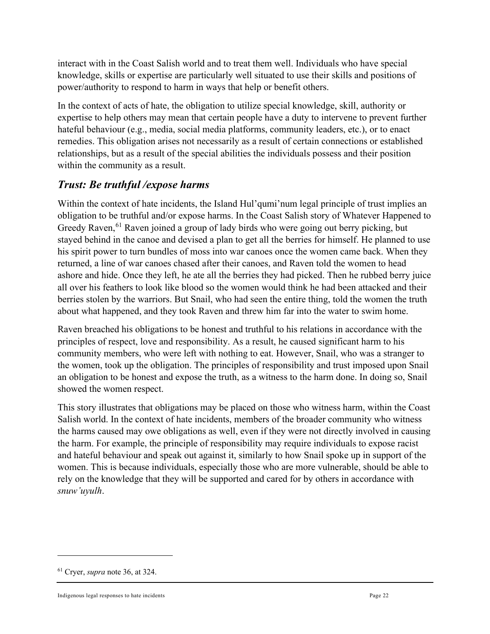interact with in the Coast Salish world and to treat them well. Individuals who have special knowledge, skills or expertise are particularly well situated to use their skills and positions of power/authority to respond to harm in ways that help or benefit others.

In the context of acts of hate, the obligation to utilize special knowledge, skill, authority or expertise to help others may mean that certain people have a duty to intervene to prevent further hateful behaviour (e.g., media, social media platforms, community leaders, etc.), or to enact remedies. This obligation arises not necessarily as a result of certain connections or established relationships, but as a result of the special abilities the individuals possess and their position within the community as a result.

# <span id="page-21-0"></span>*Trust: Be truthful /expose harms*

Within the context of hate incidents, the Island Hul'qumi'num legal principle of trust implies an obligation to be truthful and/or expose harms. In the Coast Salish story of Whatever Happened to Greedy Raven,<sup>[61](#page-21-1)</sup> Raven joined a group of lady birds who were going out berry picking, but stayed behind in the canoe and devised a plan to get all the berries for himself. He planned to use his spirit power to turn bundles of moss into war canoes once the women came back. When they returned, a line of war canoes chased after their canoes, and Raven told the women to head ashore and hide. Once they left, he ate all the berries they had picked. Then he rubbed berry juice all over his feathers to look like blood so the women would think he had been attacked and their berries stolen by the warriors. But Snail, who had seen the entire thing, told the women the truth about what happened, and they took Raven and threw him far into the water to swim home.

Raven breached his obligations to be honest and truthful to his relations in accordance with the principles of respect, love and responsibility. As a result, he caused significant harm to his community members, who were left with nothing to eat. However, Snail, who was a stranger to the women, took up the obligation. The principles of responsibility and trust imposed upon Snail an obligation to be honest and expose the truth, as a witness to the harm done. In doing so, Snail showed the women respect.

This story illustrates that obligations may be placed on those who witness harm, within the Coast Salish world. In the context of hate incidents, members of the broader community who witness the harms caused may owe obligations as well, even if they were not directly involved in causing the harm. For example, the principle of responsibility may require individuals to expose racist and hateful behaviour and speak out against it, similarly to how Snail spoke up in support of the women. This is because individuals, especially those who are more vulnerable, should be able to rely on the knowledge that they will be supported and cared for by others in accordance with *snuw'uyulh*.

<span id="page-21-1"></span><sup>61</sup> Cryer, *supra* note 36, at 324.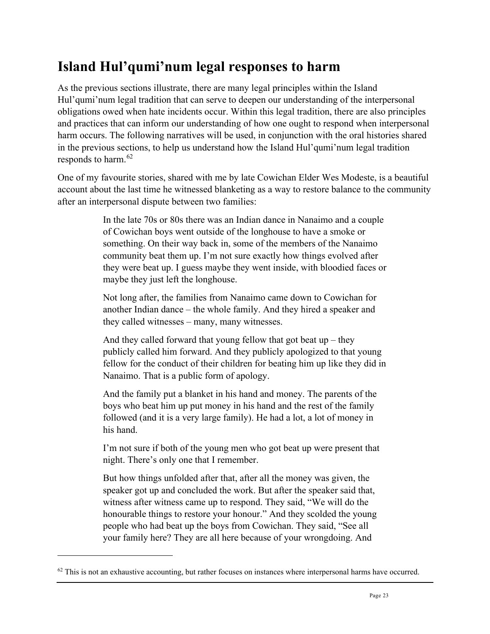# <span id="page-22-0"></span>**Island Hul'qumi'num legal responses to harm**

As the previous sections illustrate, there are many legal principles within the Island Hul'qumi'num legal tradition that can serve to deepen our understanding of the interpersonal obligations owed when hate incidents occur. Within this legal tradition, there are also principles and practices that can inform our understanding of how one ought to respond when interpersonal harm occurs. The following narratives will be used, in conjunction with the oral histories shared in the previous sections, to help us understand how the Island Hul'qumi'num legal tradition responds to harm.<sup>[62](#page-22-1)</sup>

One of my favourite stories, shared with me by late Cowichan Elder Wes Modeste, is a beautiful account about the last time he witnessed blanketing as a way to restore balance to the community after an interpersonal dispute between two families:

> In the late 70s or 80s there was an Indian dance in Nanaimo and a couple of Cowichan boys went outside of the longhouse to have a smoke or something. On their way back in, some of the members of the Nanaimo community beat them up. I'm not sure exactly how things evolved after they were beat up. I guess maybe they went inside, with bloodied faces or maybe they just left the longhouse.

Not long after, the families from Nanaimo came down to Cowichan for another Indian dance – the whole family. And they hired a speaker and they called witnesses – many, many witnesses.

And they called forward that young fellow that got beat  $up$  – they publicly called him forward. And they publicly apologized to that young fellow for the conduct of their children for beating him up like they did in Nanaimo. That is a public form of apology.

And the family put a blanket in his hand and money. The parents of the boys who beat him up put money in his hand and the rest of the family followed (and it is a very large family). He had a lot, a lot of money in his hand.

I'm not sure if both of the young men who got beat up were present that night. There's only one that I remember.

But how things unfolded after that, after all the money was given, the speaker got up and concluded the work. But after the speaker said that, witness after witness came up to respond. They said, "We will do the honourable things to restore your honour." And they scolded the young people who had beat up the boys from Cowichan. They said, "See all your family here? They are all here because of your wrongdoing. And

<span id="page-22-1"></span> $62$  This is not an exhaustive accounting, but rather focuses on instances where interpersonal harms have occurred.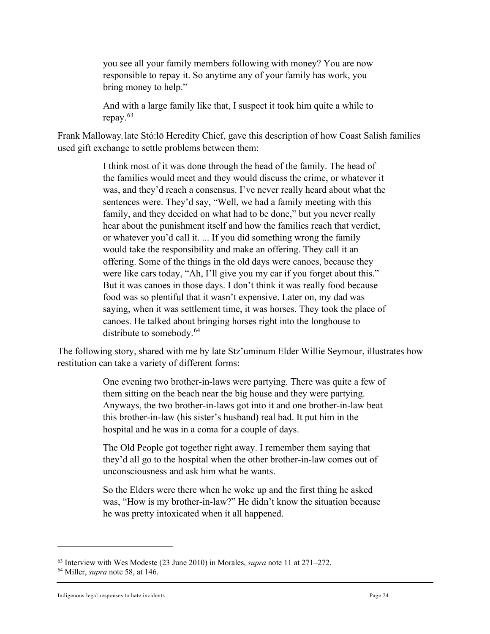you see all your family members following with money? You are now responsible to repay it. So anytime any of your family has work, you bring money to help."

And with a large family like that, I suspect it took him quite a while to repay.[63](#page-23-0)

Frank Malloway, late Stó:lō Heredity Chief, gave this description of how Coast Salish families used gift exchange to settle problems between them:

> I think most of it was done through the head of the family. The head of the families would meet and they would discuss the crime, or whatever it was, and they'd reach a consensus. I've never really heard about what the sentences were. They'd say, "Well, we had a family meeting with this family, and they decided on what had to be done," but you never really hear about the punishment itself and how the families reach that verdict, or whatever you'd call it. ... If you did something wrong the family would take the responsibility and make an offering. They call it an offering. Some of the things in the old days were canoes, because they were like cars today, "Ah, I'll give you my car if you forget about this." But it was canoes in those days. I don't think it was really food because food was so plentiful that it wasn't expensive. Later on, my dad was saying, when it was settlement time, it was horses. They took the place of canoes. He talked about bringing horses right into the longhouse to distribute to somebody.<sup>[64](#page-23-1)</sup>

The following story, shared with me by late Stz'uminum Elder Willie Seymour, illustrates how restitution can take a variety of different forms:

> One evening two brother-in-laws were partying. There was quite a few of them sitting on the beach near the big house and they were partying. Anyways, the two brother-in-laws got into it and one brother-in-law beat this brother-in-law (his sister's husband) real bad. It put him in the hospital and he was in a coma for a couple of days.

The Old People got together right away. I remember them saying that they'd all go to the hospital when the other brother-in-law comes out of unconsciousness and ask him what he wants.

So the Elders were there when he woke up and the first thing he asked was, "How is my brother-in-law?" He didn't know the situation because he was pretty intoxicated when it all happened.

<span id="page-23-0"></span><sup>63</sup> Interview with Wes Modeste (23 June 2010) in Morales, *supra* note 11 at 271–272. 64 Miller, *supra* note 58, at 146.

<span id="page-23-1"></span>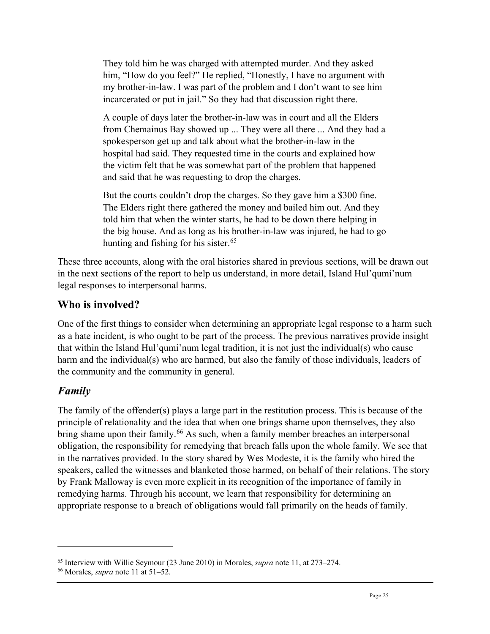They told him he was charged with attempted murder. And they asked him, "How do you feel?" He replied, "Honestly, I have no argument with my brother-in-law. I was part of the problem and I don't want to see him incarcerated or put in jail." So they had that discussion right there.

A couple of days later the brother-in-law was in court and all the Elders from Chemainus Bay showed up ... They were all there ... And they had a spokesperson get up and talk about what the brother-in-law in the hospital had said. They requested time in the courts and explained how the victim felt that he was somewhat part of the problem that happened and said that he was requesting to drop the charges.

But the courts couldn't drop the charges. So they gave him a \$300 fine. The Elders right there gathered the money and bailed him out. And they told him that when the winter starts, he had to be down there helping in the big house. And as long as his brother-in-law was injured, he had to go hunting and fishing for his sister. $65$ 

These three accounts, along with the oral histories shared in previous sections, will be drawn out in the next sections of the report to help us understand, in more detail, Island Hul'qumi'num legal responses to interpersonal harms.

# <span id="page-24-0"></span>**Who is involved?**

One of the first things to consider when determining an appropriate legal response to a harm such as a hate incident, is who ought to be part of the process. The previous narratives provide insight that within the Island Hul'qumi'num legal tradition, it is not just the individual(s) who cause harm and the individual(s) who are harmed, but also the family of those individuals, leaders of the community and the community in general.

# <span id="page-24-1"></span>*Family*

The family of the offender(s) plays a large part in the restitution process. This is because of the principle of relationality and the idea that when one brings shame upon themselves, they also bring shame upon their family.<sup>[66](#page-24-3)</sup> As such, when a family member breaches an interpersonal obligation, the responsibility for remedying that breach falls upon the whole family. We see that in the narratives provided. In the story shared by Wes Modeste, it is the family who hired the speakers, called the witnesses and blanketed those harmed, on behalf of their relations. The story by Frank Malloway is even more explicit in its recognition of the importance of family in remedying harms. Through his account, we learn that responsibility for determining an appropriate response to a breach of obligations would fall primarily on the heads of family.

<span id="page-24-2"></span><sup>65</sup> Interview with Willie Seymour (23 June 2010) in Morales, *supra* note 11, at 273–274. 66 Morales, *supra* note 11 at 51–52.

<span id="page-24-3"></span>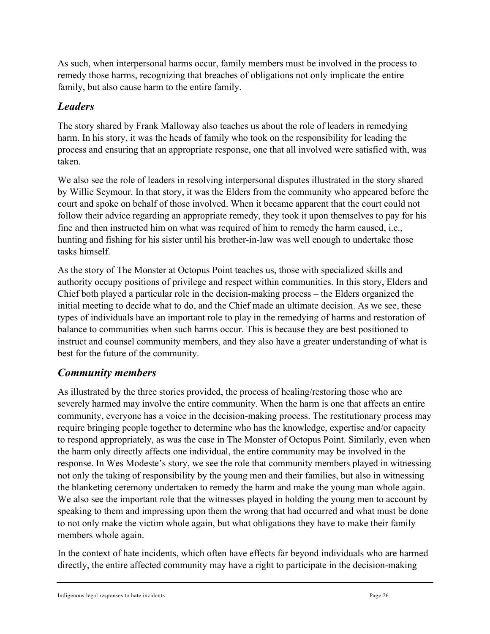As such, when interpersonal harms occur, family members must be involved in the process to remedy those harms, recognizing that breaches of obligations not only implicate the entire family, but also cause harm to the entire family.

### <span id="page-25-0"></span>*Leaders*

The story shared by Frank Malloway also teaches us about the role of leaders in remedying harm. In his story, it was the heads of family who took on the responsibility for leading the process and ensuring that an appropriate response, one that all involved were satisfied with, was taken.

We also see the role of leaders in resolving interpersonal disputes illustrated in the story shared by Willie Seymour. In that story, it was the Elders from the community who appeared before the court and spoke on behalf of those involved. When it became apparent that the court could not follow their advice regarding an appropriate remedy, they took it upon themselves to pay for his fine and then instructed him on what was required of him to remedy the harm caused, i.e., hunting and fishing for his sister until his brother-in-law was well enough to undertake those tasks himself.

As the story of The Monster at Octopus Point teaches us, those with specialized skills and authority occupy positions of privilege and respect within communities. In this story, Elders and Chief both played a particular role in the decision-making process – the Elders organized the initial meeting to decide what to do, and the Chief made an ultimate decision. As we see, these types of individuals have an important role to play in the remedying of harms and restoration of balance to communities when such harms occur. This is because they are best positioned to instruct and counsel community members, and they also have a greater understanding of what is best for the future of the community.

#### <span id="page-25-1"></span>*Community members*

As illustrated by the three stories provided, the process of healing/restoring those who are severely harmed may involve the entire community. When the harm is one that affects an entire community, everyone has a voice in the decision-making process. The restitutionary process may require bringing people together to determine who has the knowledge, expertise and/or capacity to respond appropriately, as was the case in The Monster of Octopus Point. Similarly, even when the harm only directly affects one individual, the entire community may be involved in the response. In Wes Modeste's story, we see the role that community members played in witnessing not only the taking of responsibility by the young men and their families, but also in witnessing the blanketing ceremony undertaken to remedy the harm and make the young man whole again. We also see the important role that the witnesses played in holding the young men to account by speaking to them and impressing upon them the wrong that had occurred and what must be done to not only make the victim whole again, but what obligations they have to make their family members whole again.

In the context of hate incidents, which often have effects far beyond individuals who are harmed directly, the entire affected community may have a right to participate in the decision-making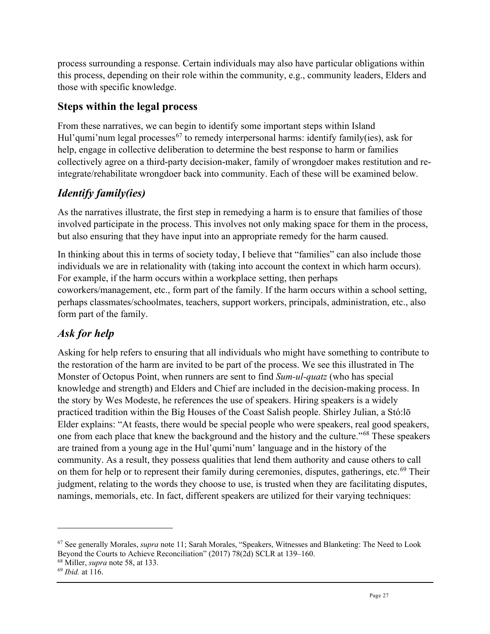process surrounding a response. Certain individuals may also have particular obligations within this process, depending on their role within the community, e.g., community leaders, Elders and those with specific knowledge.

### <span id="page-26-0"></span>**Steps within the legal process**

From these narratives, we can begin to identify some important steps within Island Hul'qumi'num legal processes<sup>[67](#page-26-3)</sup> to remedy interpersonal harms: identify family(ies), ask for help, engage in collective deliberation to determine the best response to harm or families collectively agree on a third-party decision-maker, family of wrongdoer makes restitution and reintegrate/rehabilitate wrongdoer back into community. Each of these will be examined below.

# <span id="page-26-1"></span>*Identify family(ies)*

As the narratives illustrate, the first step in remedying a harm is to ensure that families of those involved participate in the process. This involves not only making space for them in the process, but also ensuring that they have input into an appropriate remedy for the harm caused.

In thinking about this in terms of society today, I believe that "families" can also include those individuals we are in relationality with (taking into account the context in which harm occurs). For example, if the harm occurs within a workplace setting, then perhaps coworkers/management, etc., form part of the family. If the harm occurs within a school setting, perhaps classmates/schoolmates, teachers, support workers, principals, administration, etc., also form part of the family.

# <span id="page-26-2"></span>*Ask for help*

Asking for help refers to ensuring that all individuals who might have something to contribute to the restoration of the harm are invited to be part of the process. We see this illustrated in The Monster of Octopus Point, when runners are sent to find *Sum-ul-quatz* (who has special knowledge and strength) and Elders and Chief are included in the decision-making process. In the story by Wes Modeste, he references the use of speakers. Hiring speakers is a widely practiced tradition within the Big Houses of the Coast Salish people. Shirley Julian, a Stó:lō Elder explains: "At feasts, there would be special people who were speakers, real good speakers, one from each place that knew the background and the history and the culture."[68](#page-26-4) These speakers are trained from a young age in the Hul'qumi'num' language and in the history of the community. As a result, they possess qualities that lend them authority and cause others to call on them for help or to represent their family during ceremonies, disputes, gatherings, etc.<sup>[69](#page-26-5)</sup> Their judgment, relating to the words they choose to use, is trusted when they are facilitating disputes, namings, memorials, etc. In fact, different speakers are utilized for their varying techniques:

<span id="page-26-3"></span><sup>67</sup> See generally Morales, *supra* note 11; Sarah Morales, "Speakers, Witnesses and Blanketing: The Need to Look Beyond the Courts to Achieve Reconciliation" (2017) 78(2d) SCLR at 139–160. 68 Miller, *supra* note 58, at 133.

<span id="page-26-5"></span><span id="page-26-4"></span><sup>69</sup> *Ibid.* at 116.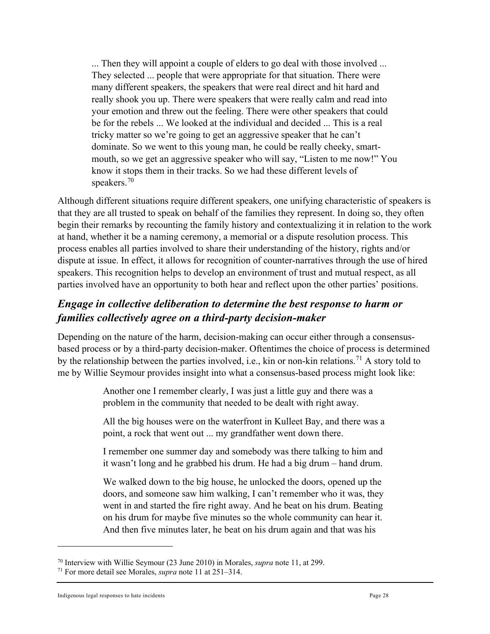... Then they will appoint a couple of elders to go deal with those involved ... They selected ... people that were appropriate for that situation. There were many different speakers, the speakers that were real direct and hit hard and really shook you up. There were speakers that were really calm and read into your emotion and threw out the feeling. There were other speakers that could be for the rebels ... We looked at the individual and decided ... This is a real tricky matter so we're going to get an aggressive speaker that he can't dominate. So we went to this young man, he could be really cheeky, smartmouth, so we get an aggressive speaker who will say, "Listen to me now!" You know it stops them in their tracks. So we had these different levels of speakers.[70](#page-27-1)

Although different situations require different speakers, one unifying characteristic of speakers is that they are all trusted to speak on behalf of the families they represent. In doing so, they often begin their remarks by recounting the family history and contextualizing it in relation to the work at hand, whether it be a naming ceremony, a memorial or a dispute resolution process. This process enables all parties involved to share their understanding of the history, rights and/or dispute at issue. In effect, it allows for recognition of counter-narratives through the use of hired speakers. This recognition helps to develop an environment of trust and mutual respect, as all parties involved have an opportunity to both hear and reflect upon the other parties' positions.

# <span id="page-27-0"></span>*Engage in collective deliberation to determine the best response to harm or families collectively agree on a third-party decision-maker*

Depending on the nature of the harm, decision-making can occur either through a consensusbased process or by a third-party decision-maker. Oftentimes the choice of process is determined by the relationship between the parties involved, i.e., kin or non-kin relations.<sup>[71](#page-27-2)</sup> A story told to me by Willie Seymour provides insight into what a consensus-based process might look like:

> Another one I remember clearly, I was just a little guy and there was a problem in the community that needed to be dealt with right away.

All the big houses were on the waterfront in Kulleet Bay, and there was a point, a rock that went out ... my grandfather went down there.

I remember one summer day and somebody was there talking to him and it wasn't long and he grabbed his drum. He had a big drum – hand drum.

We walked down to the big house, he unlocked the doors, opened up the doors, and someone saw him walking, I can't remember who it was, they went in and started the fire right away. And he beat on his drum. Beating on his drum for maybe five minutes so the whole community can hear it. And then five minutes later, he beat on his drum again and that was his

<span id="page-27-1"></span><sup>70</sup> Interview with Willie Seymour (23 June 2010) in Morales, *supra* note 11, at 299. 71 For more detail see Morales, *supra* note 11 at 251–314.

<span id="page-27-2"></span>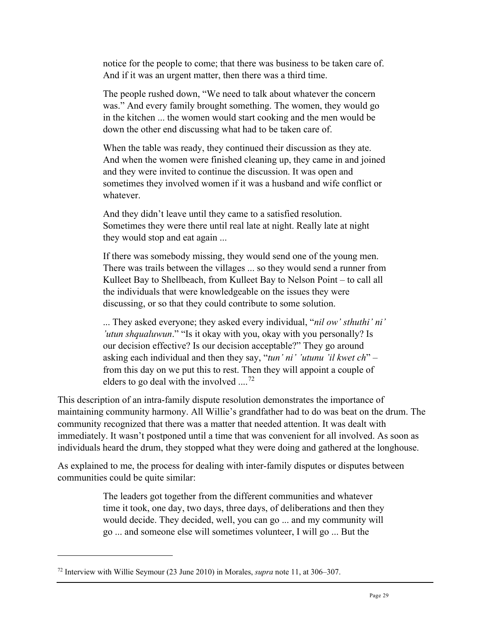notice for the people to come; that there was business to be taken care of. And if it was an urgent matter, then there was a third time.

The people rushed down, "We need to talk about whatever the concern was." And every family brought something. The women, they would go in the kitchen ... the women would start cooking and the men would be down the other end discussing what had to be taken care of.

When the table was ready, they continued their discussion as they ate. And when the women were finished cleaning up, they came in and joined and they were invited to continue the discussion. It was open and sometimes they involved women if it was a husband and wife conflict or whatever.

And they didn't leave until they came to a satisfied resolution. Sometimes they were there until real late at night. Really late at night they would stop and eat again ...

If there was somebody missing, they would send one of the young men. There was trails between the villages ... so they would send a runner from Kulleet Bay to Shellbeach, from Kulleet Bay to Nelson Point – to call all the individuals that were knowledgeable on the issues they were discussing, or so that they could contribute to some solution.

... They asked everyone; they asked every individual, "*nil ow' sthuthi' ni' 'utun shqualuwun*." "Is it okay with you, okay with you personally? Is our decision effective? Is our decision acceptable?" They go around asking each individual and then they say, "*tun' ni' 'utunu 'il kwet ch*" – from this day on we put this to rest. Then they will appoint a couple of elders to go deal with the involved  $\ldots$ <sup>[72](#page-28-0)</sup>

This description of an intra-family dispute resolution demonstrates the importance of maintaining community harmony. All Willie's grandfather had to do was beat on the drum. The community recognized that there was a matter that needed attention. It was dealt with immediately. It wasn't postponed until a time that was convenient for all involved. As soon as individuals heard the drum, they stopped what they were doing and gathered at the longhouse.

As explained to me, the process for dealing with inter-family disputes or disputes between communities could be quite similar:

> The leaders got together from the different communities and whatever time it took, one day, two days, three days, of deliberations and then they would decide. They decided, well, you can go ... and my community will go ... and someone else will sometimes volunteer, I will go ... But the

<span id="page-28-0"></span><sup>72</sup> Interview with Willie Seymour (23 June 2010) in Morales, *supra* note 11, at 306–307.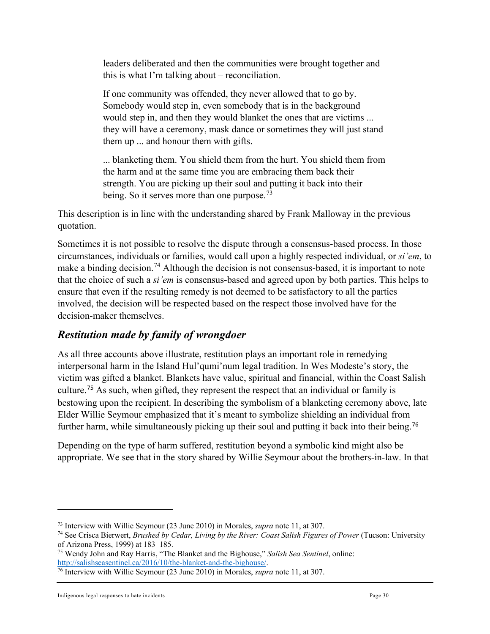leaders deliberated and then the communities were brought together and this is what I'm talking about – reconciliation.

If one community was offended, they never allowed that to go by. Somebody would step in, even somebody that is in the background would step in, and then they would blanket the ones that are victims ... they will have a ceremony, mask dance or sometimes they will just stand them up ... and honour them with gifts.

... blanketing them. You shield them from the hurt. You shield them from the harm and at the same time you are embracing them back their strength. You are picking up their soul and putting it back into their being. So it serves more than one purpose.<sup>[73](#page-29-1)</sup>

This description is in line with the understanding shared by Frank Malloway in the previous quotation.

Sometimes it is not possible to resolve the dispute through a consensus-based process. In those circumstances, individuals or families, would call upon a highly respected individual, or *si'em*, to make a binding decision.<sup>[74](#page-29-2)</sup> Although the decision is not consensus-based, it is important to note that the choice of such a *si'em* is consensus-based and agreed upon by both parties. This helps to ensure that even if the resulting remedy is not deemed to be satisfactory to all the parties involved, the decision will be respected based on the respect those involved have for the decision-maker themselves.

# <span id="page-29-0"></span>*Restitution made by family of wrongdoer*

As all three accounts above illustrate, restitution plays an important role in remedying interpersonal harm in the Island Hul'qumi'num legal tradition. In Wes Modeste's story, the victim was gifted a blanket. Blankets have value, spiritual and financial, within the Coast Salish culture.[75](#page-29-3) As such, when gifted, they represent the respect that an individual or family is bestowing upon the recipient. In describing the symbolism of a blanketing ceremony above, late Elder Willie Seymour emphasized that it's meant to symbolize shielding an individual from further harm, while simultaneously picking up their soul and putting it back into their being.<sup>[76](#page-29-4)</sup>

Depending on the type of harm suffered, restitution beyond a symbolic kind might also be appropriate. We see that in the story shared by Willie Seymour about the brothers-in-law. In that

<span id="page-29-2"></span><span id="page-29-1"></span><sup>73</sup> Interview with Willie Seymour (23 June 2010) in Morales, *supra* note 11, at 307. 74 See Crisca Bierwert, *Brushed by Cedar, Living by the River: Coast Salish Figures of Power* (Tucson: University of Arizona Press, 1999) at 183–185.

<span id="page-29-3"></span><sup>75</sup> Wendy John and Ray Harris, "The Blanket and the Bighouse," *Salish Sea Sentinel*, online: [http://salishseasentinel.ca/2016/10/the-blanket-and-the-bighouse/.](http://salishseasentinel.ca/2016/10/the-blanket-and-the-bighouse/)

<span id="page-29-4"></span><sup>76</sup> Interview with Willie Seymour (23 June 2010) in Morales, *supra* note 11, at 307.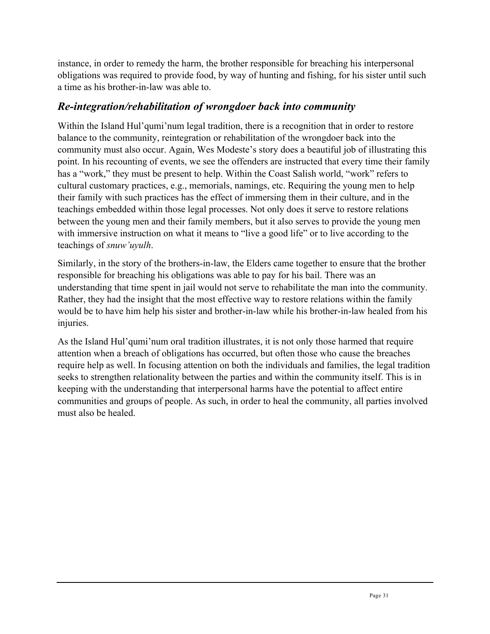instance, in order to remedy the harm, the brother responsible for breaching his interpersonal obligations was required to provide food, by way of hunting and fishing, for his sister until such a time as his brother-in-law was able to.

### <span id="page-30-0"></span>*Re-integration/rehabilitation of wrongdoer back into community*

Within the Island Hul'qumi'num legal tradition, there is a recognition that in order to restore balance to the community, reintegration or rehabilitation of the wrongdoer back into the community must also occur. Again, Wes Modeste's story does a beautiful job of illustrating this point. In his recounting of events, we see the offenders are instructed that every time their family has a "work," they must be present to help. Within the Coast Salish world, "work" refers to cultural customary practices, e.g., memorials, namings, etc. Requiring the young men to help their family with such practices has the effect of immersing them in their culture, and in the teachings embedded within those legal processes. Not only does it serve to restore relations between the young men and their family members, but it also serves to provide the young men with immersive instruction on what it means to "live a good life" or to live according to the teachings of *snuw'uyulh*.

Similarly, in the story of the brothers-in-law, the Elders came together to ensure that the brother responsible for breaching his obligations was able to pay for his bail. There was an understanding that time spent in jail would not serve to rehabilitate the man into the community. Rather, they had the insight that the most effective way to restore relations within the family would be to have him help his sister and brother-in-law while his brother-in-law healed from his injuries.

As the Island Hul'qumi'num oral tradition illustrates, it is not only those harmed that require attention when a breach of obligations has occurred, but often those who cause the breaches require help as well. In focusing attention on both the individuals and families, the legal tradition seeks to strengthen relationality between the parties and within the community itself. This is in keeping with the understanding that interpersonal harms have the potential to affect entire communities and groups of people. As such, in order to heal the community, all parties involved must also be healed.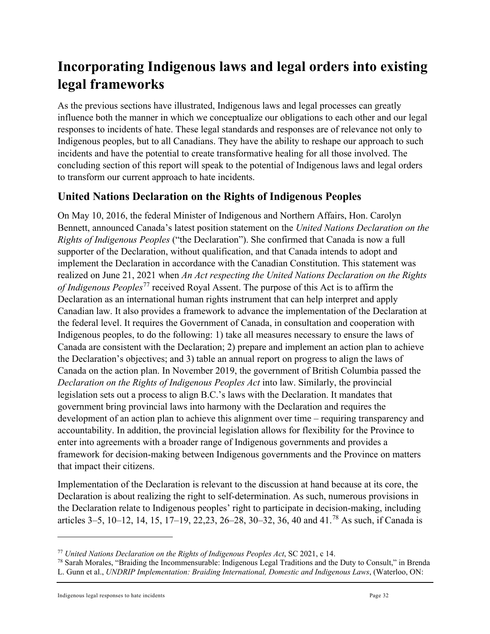# <span id="page-31-0"></span>**Incorporating Indigenous laws and legal orders into existing legal frameworks**

As the previous sections have illustrated, Indigenous laws and legal processes can greatly influence both the manner in which we conceptualize our obligations to each other and our legal responses to incidents of hate. These legal standards and responses are of relevance not only to Indigenous peoples, but to all Canadians. They have the ability to reshape our approach to such incidents and have the potential to create transformative healing for all those involved. The concluding section of this report will speak to the potential of Indigenous laws and legal orders to transform our current approach to hate incidents.

#### <span id="page-31-1"></span>**United Nations Declaration on the Rights of Indigenous Peoples**

On May 10, 2016, the federal Minister of Indigenous and Northern Affairs, Hon. Carolyn Bennett, announced Canada's latest position statement on the *United Nations Declaration on the Rights of Indigenous Peoples* ("the Declaration"). She confirmed that Canada is now a full supporter of the Declaration, without qualification, and that Canada intends to adopt and implement the Declaration in accordance with the Canadian Constitution. This statement was realized on June 21, 2021 when *An Act respecting the United Nations Declaration on the Rights of Indigenous Peoples*[77](#page-31-2) received Royal Assent. The purpose of this Act is to affirm the Declaration as an international human rights instrument that can help interpret and apply Canadian law. It also provides a framework to advance the implementation of the Declaration at the federal level. It requires the Government of Canada, in consultation and cooperation with Indigenous peoples, to do the following: 1) take all measures necessary to ensure the laws of Canada are consistent with the Declaration; 2) prepare and implement an action plan to achieve the Declaration's objectives; and 3) table an annual report on progress to align the laws of Canada on the action plan. In November 2019, the government of British Columbia passed the *Declaration on the Rights of Indigenous Peoples Act* into law. Similarly, the provincial legislation sets out a process to align B.C.'s laws with the Declaration. It mandates that government bring provincial laws into harmony with the Declaration and requires the development of an action plan to achieve this alignment over time – requiring transparency and accountability. In addition, the provincial legislation allows for flexibility for the Province to enter into agreements with a broader range of Indigenous governments and provides a framework for decision-making between Indigenous governments and the Province on matters that impact their citizens.

Implementation of the Declaration is relevant to the discussion at hand because at its core, the Declaration is about realizing the right to self-determination. As such, numerous provisions in the Declaration relate to Indigenous peoples' right to participate in decision-making, including articles 3–5, 10–12, 14, 15, 17–19, 22,23, 26–28, 30–32, 36, 40 and 41.[78](#page-31-3) As such, if Canada is

<span id="page-31-2"></span><sup>77</sup> *United Nations Declaration on the Rights of Indigenous Peoples Act*, SC 2021, c 14.

<span id="page-31-3"></span><sup>78</sup> Sarah Morales, "Braiding the Incommensurable: Indigenous Legal Traditions and the Duty to Consult," in Brenda

L. Gunn et al., *UNDRIP Implementation: Braiding International, Domestic and Indigenous Laws*, (Waterloo, ON: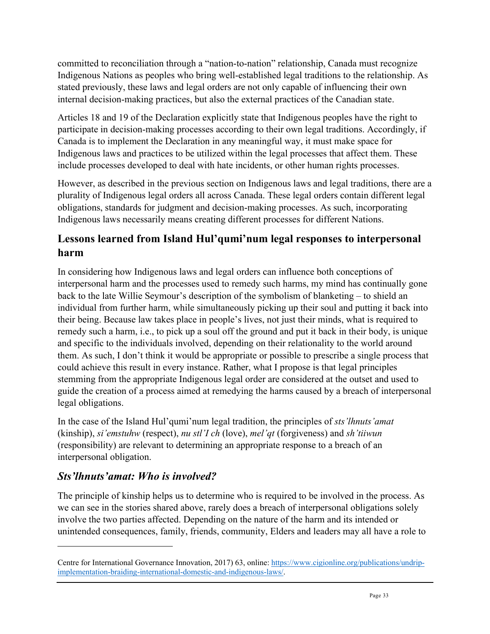committed to reconciliation through a "nation-to-nation" relationship, Canada must recognize Indigenous Nations as peoples who bring well-established legal traditions to the relationship. As stated previously, these laws and legal orders are not only capable of influencing their own internal decision-making practices, but also the external practices of the Canadian state.

Articles 18 and 19 of the Declaration explicitly state that Indigenous peoples have the right to participate in decision-making processes according to their own legal traditions. Accordingly, if Canada is to implement the Declaration in any meaningful way, it must make space for Indigenous laws and practices to be utilized within the legal processes that affect them. These include processes developed to deal with hate incidents, or other human rights processes.

However, as described in the previous section on Indigenous laws and legal traditions, there are a plurality of Indigenous legal orders all across Canada. These legal orders contain different legal obligations, standards for judgment and decision-making processes. As such, incorporating Indigenous laws necessarily means creating different processes for different Nations.

# <span id="page-32-0"></span>**Lessons learned from Island Hul'qumi'num legal responses to interpersonal harm**

In considering how Indigenous laws and legal orders can influence both conceptions of interpersonal harm and the processes used to remedy such harms, my mind has continually gone back to the late Willie Seymour's description of the symbolism of blanketing – to shield an individual from further harm, while simultaneously picking up their soul and putting it back into their being. Because law takes place in people's lives, not just their minds, what is required to remedy such a harm, i.e., to pick up a soul off the ground and put it back in their body, is unique and specific to the individuals involved, depending on their relationality to the world around them. As such, I don't think it would be appropriate or possible to prescribe a single process that could achieve this result in every instance. Rather, what I propose is that legal principles stemming from the appropriate Indigenous legal order are considered at the outset and used to guide the creation of a process aimed at remedying the harms caused by a breach of interpersonal legal obligations.

In the case of the Island Hul'qumi'num legal tradition, the principles of *sts'lhnuts'amat* (kinship), *si'emstuhw* (respect), *nu stl'I ch* (love), *mel'qt* (forgiveness) and *sh'tiiwun* (responsibility) are relevant to determining an appropriate response to a breach of an interpersonal obligation.

# <span id="page-32-1"></span>*Sts'lhnuts'amat: Who is involved?*

The principle of kinship helps us to determine who is required to be involved in the process. As we can see in the stories shared above, rarely does a breach of interpersonal obligations solely involve the two parties affected. Depending on the nature of the harm and its intended or unintended consequences, family, friends, community, Elders and leaders may all have a role to

Centre for International Governance Innovation, 2017) 63, online: [https://www.cigionline.org/publications/undrip](https://www.cigionline.org/publications/undrip-implementation-braiding-international-domestic-and-indigenous-laws/)[implementation-braiding-international-domestic-and-indigenous-laws/.](https://www.cigionline.org/publications/undrip-implementation-braiding-international-domestic-and-indigenous-laws/)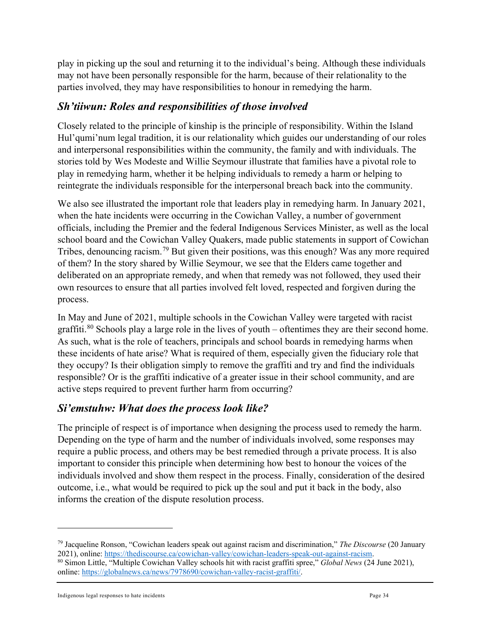play in picking up the soul and returning it to the individual's being. Although these individuals may not have been personally responsible for the harm, because of their relationality to the parties involved, they may have responsibilities to honour in remedying the harm.

#### <span id="page-33-0"></span>*Sh'tiiwun: Roles and responsibilities of those involved*

Closely related to the principle of kinship is the principle of responsibility. Within the Island Hul'qumi'num legal tradition, it is our relationality which guides our understanding of our roles and interpersonal responsibilities within the community, the family and with individuals. The stories told by Wes Modeste and Willie Seymour illustrate that families have a pivotal role to play in remedying harm, whether it be helping individuals to remedy a harm or helping to reintegrate the individuals responsible for the interpersonal breach back into the community.

We also see illustrated the important role that leaders play in remedying harm. In January 2021, when the hate incidents were occurring in the Cowichan Valley, a number of government officials, including the Premier and the federal Indigenous Services Minister, as well as the local school board and the Cowichan Valley Quakers, made public statements in support of Cowichan Tribes, denouncing racism.[79](#page-33-2) But given their positions, was this enough? Was any more required of them? In the story shared by Willie Seymour, we see that the Elders came together and deliberated on an appropriate remedy, and when that remedy was not followed, they used their own resources to ensure that all parties involved felt loved, respected and forgiven during the process.

In May and June of 2021, multiple schools in the Cowichan Valley were targeted with racist graffiti.<sup>[80](#page-33-3)</sup> Schools play a large role in the lives of youth – oftentimes they are their second home. As such, what is the role of teachers, principals and school boards in remedying harms when these incidents of hate arise? What is required of them, especially given the fiduciary role that they occupy? Is their obligation simply to remove the graffiti and try and find the individuals responsible? Or is the graffiti indicative of a greater issue in their school community, and are active steps required to prevent further harm from occurring?

#### <span id="page-33-1"></span>*Si'emstuhw: What does the process look like?*

The principle of respect is of importance when designing the process used to remedy the harm. Depending on the type of harm and the number of individuals involved, some responses may require a public process, and others may be best remedied through a private process. It is also important to consider this principle when determining how best to honour the voices of the individuals involved and show them respect in the process. Finally, consideration of the desired outcome, i.e., what would be required to pick up the soul and put it back in the body, also informs the creation of the dispute resolution process.

<span id="page-33-2"></span><sup>79</sup> Jacqueline Ronson, "Cowichan leaders speak out against racism and discrimination," *The Discourse* (20 January

<span id="page-33-3"></span><sup>&</sup>lt;sup>80</sup> Simon Little, "Multiple Cowichan-Valley schools hit with racist graffiti spree," *Global News* (24 June 2021), online: [https://globalnews.ca/news/7978690/cowichan-valley-racist-graffiti/.](https://globalnews.ca/news/7978690/cowichan-valley-racist-graffiti/)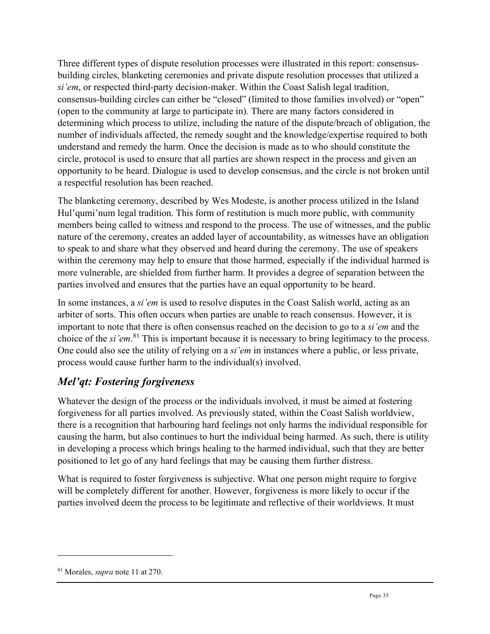Three different types of dispute resolution processes were illustrated in this report: consensusbuilding circles, blanketing ceremonies and private dispute resolution processes that utilized a *si'em*, or respected third-party decision-maker. Within the Coast Salish legal tradition, consensus-building circles can either be "closed" (limited to those families involved) or "open" (open to the community at large to participate in). There are many factors considered in determining which process to utilize, including the nature of the dispute/breach of obligation, the number of individuals affected, the remedy sought and the knowledge/expertise required to both understand and remedy the harm. Once the decision is made as to who should constitute the circle, protocol is used to ensure that all parties are shown respect in the process and given an opportunity to be heard. Dialogue is used to develop consensus, and the circle is not broken until a respectful resolution has been reached.

The blanketing ceremony, described by Wes Modeste, is another process utilized in the Island Hul'qumi'num legal tradition. This form of restitution is much more public, with community members being called to witness and respond to the process. The use of witnesses, and the public nature of the ceremony, creates an added layer of accountability, as witnesses have an obligation to speak to and share what they observed and heard during the ceremony. The use of speakers within the ceremony may help to ensure that those harmed, especially if the individual harmed is more vulnerable, are shielded from further harm. It provides a degree of separation between the parties involved and ensures that the parties have an equal opportunity to be heard.

In some instances, a *si'em* is used to resolve disputes in the Coast Salish world, acting as an arbiter of sorts. This often occurs when parties are unable to reach consensus. However, it is important to note that there is often consensus reached on the decision to go to a *si'em* and the choice of the *si'em*. [81](#page-34-1) This is important because it is necessary to bring legitimacy to the process. One could also see the utility of relying on a *si'em* in instances where a public, or less private, process would cause further harm to the individual(s) involved.

# <span id="page-34-0"></span>*Mel'qt: Fostering forgiveness*

Whatever the design of the process or the individuals involved, it must be aimed at fostering forgiveness for all parties involved. As previously stated, within the Coast Salish worldview, there is a recognition that harbouring hard feelings not only harms the individual responsible for causing the harm, but also continues to hurt the individual being harmed. As such, there is utility in developing a process which brings healing to the harmed individual, such that they are better positioned to let go of any hard feelings that may be causing them further distress.

What is required to foster forgiveness is subjective. What one person might require to forgive will be completely different for another. However, forgiveness is more likely to occur if the parties involved deem the process to be legitimate and reflective of their worldviews. It must

<span id="page-34-1"></span><sup>81</sup> Morales, *supra* note 11 at 270.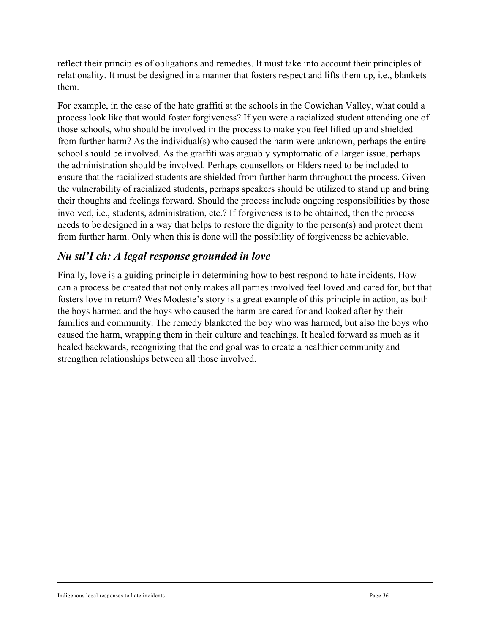reflect their principles of obligations and remedies. It must take into account their principles of relationality. It must be designed in a manner that fosters respect and lifts them up, i.e., blankets them.

For example, in the case of the hate graffiti at the schools in the Cowichan Valley, what could a process look like that would foster forgiveness? If you were a racialized student attending one of those schools, who should be involved in the process to make you feel lifted up and shielded from further harm? As the individual(s) who caused the harm were unknown, perhaps the entire school should be involved. As the graffiti was arguably symptomatic of a larger issue, perhaps the administration should be involved. Perhaps counsellors or Elders need to be included to ensure that the racialized students are shielded from further harm throughout the process. Given the vulnerability of racialized students, perhaps speakers should be utilized to stand up and bring their thoughts and feelings forward. Should the process include ongoing responsibilities by those involved, i.e., students, administration, etc.? If forgiveness is to be obtained, then the process needs to be designed in a way that helps to restore the dignity to the person(s) and protect them from further harm. Only when this is done will the possibility of forgiveness be achievable.

# <span id="page-35-0"></span>*Nu stl'I ch: A legal response grounded in love*

Finally, love is a guiding principle in determining how to best respond to hate incidents. How can a process be created that not only makes all parties involved feel loved and cared for, but that fosters love in return? Wes Modeste's story is a great example of this principle in action, as both the boys harmed and the boys who caused the harm are cared for and looked after by their families and community. The remedy blanketed the boy who was harmed, but also the boys who caused the harm, wrapping them in their culture and teachings. It healed forward as much as it healed backwards, recognizing that the end goal was to create a healthier community and strengthen relationships between all those involved.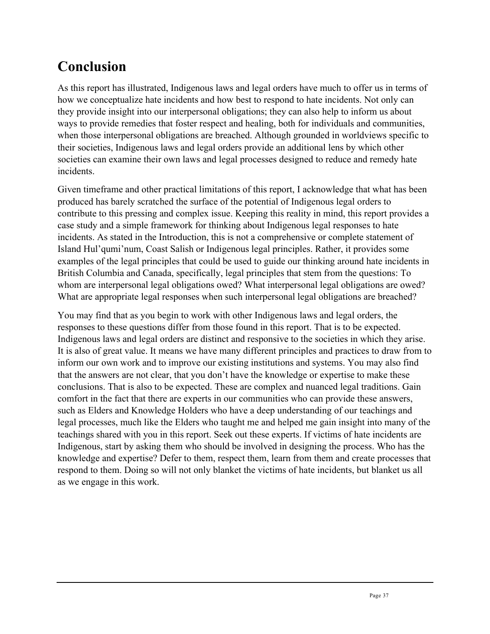# <span id="page-36-0"></span>**Conclusion**

As this report has illustrated, Indigenous laws and legal orders have much to offer us in terms of how we conceptualize hate incidents and how best to respond to hate incidents. Not only can they provide insight into our interpersonal obligations; they can also help to inform us about ways to provide remedies that foster respect and healing, both for individuals and communities, when those interpersonal obligations are breached. Although grounded in worldviews specific to their societies, Indigenous laws and legal orders provide an additional lens by which other societies can examine their own laws and legal processes designed to reduce and remedy hate incidents.

Given timeframe and other practical limitations of this report, I acknowledge that what has been produced has barely scratched the surface of the potential of Indigenous legal orders to contribute to this pressing and complex issue. Keeping this reality in mind, this report provides a case study and a simple framework for thinking about Indigenous legal responses to hate incidents. As stated in the Introduction, this is not a comprehensive or complete statement of Island Hul'qumi'num, Coast Salish or Indigenous legal principles. Rather, it provides some examples of the legal principles that could be used to guide our thinking around hate incidents in British Columbia and Canada, specifically, legal principles that stem from the questions: To whom are interpersonal legal obligations owed? What interpersonal legal obligations are owed? What are appropriate legal responses when such interpersonal legal obligations are breached?

You may find that as you begin to work with other Indigenous laws and legal orders, the responses to these questions differ from those found in this report. That is to be expected. Indigenous laws and legal orders are distinct and responsive to the societies in which they arise. It is also of great value. It means we have many different principles and practices to draw from to inform our own work and to improve our existing institutions and systems. You may also find that the answers are not clear, that you don't have the knowledge or expertise to make these conclusions. That is also to be expected. These are complex and nuanced legal traditions. Gain comfort in the fact that there are experts in our communities who can provide these answers, such as Elders and Knowledge Holders who have a deep understanding of our teachings and legal processes, much like the Elders who taught me and helped me gain insight into many of the teachings shared with you in this report. Seek out these experts. If victims of hate incidents are Indigenous, start by asking them who should be involved in designing the process. Who has the knowledge and expertise? Defer to them, respect them, learn from them and create processes that respond to them. Doing so will not only blanket the victims of hate incidents, but blanket us all as we engage in this work.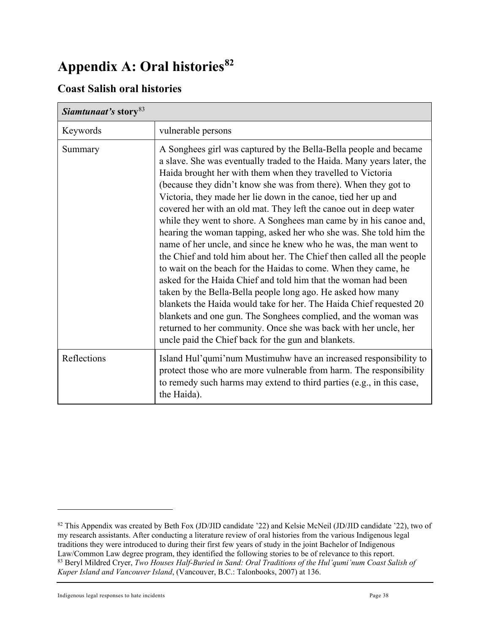# <span id="page-37-0"></span>**Appendix A: Oral histories[82](#page-37-2)**

### <span id="page-37-1"></span>**Coast Salish oral histories**

| Siamtunaat's story <sup>83</sup> |                                                                                                                                                                                                                                                                                                                                                                                                                                                                                                                                                                                                                                                                                                                                                                                                                                                                                                                                                                                                                                                                                                                                                                                         |
|----------------------------------|-----------------------------------------------------------------------------------------------------------------------------------------------------------------------------------------------------------------------------------------------------------------------------------------------------------------------------------------------------------------------------------------------------------------------------------------------------------------------------------------------------------------------------------------------------------------------------------------------------------------------------------------------------------------------------------------------------------------------------------------------------------------------------------------------------------------------------------------------------------------------------------------------------------------------------------------------------------------------------------------------------------------------------------------------------------------------------------------------------------------------------------------------------------------------------------------|
| Keywords                         | vulnerable persons                                                                                                                                                                                                                                                                                                                                                                                                                                                                                                                                                                                                                                                                                                                                                                                                                                                                                                                                                                                                                                                                                                                                                                      |
| Summary                          | A Songhees girl was captured by the Bella-Bella people and became<br>a slave. She was eventually traded to the Haida. Many years later, the<br>Haida brought her with them when they travelled to Victoria<br>(because they didn't know she was from there). When they got to<br>Victoria, they made her lie down in the canoe, tied her up and<br>covered her with an old mat. They left the canoe out in deep water<br>while they went to shore. A Songhees man came by in his canoe and,<br>hearing the woman tapping, asked her who she was. She told him the<br>name of her uncle, and since he knew who he was, the man went to<br>the Chief and told him about her. The Chief then called all the people<br>to wait on the beach for the Haidas to come. When they came, he<br>asked for the Haida Chief and told him that the woman had been<br>taken by the Bella-Bella people long ago. He asked how many<br>blankets the Haida would take for her. The Haida Chief requested 20<br>blankets and one gun. The Songhees complied, and the woman was<br>returned to her community. Once she was back with her uncle, her<br>uncle paid the Chief back for the gun and blankets. |
| Reflections                      | Island Hul'qumi'num Mustimuhw have an increased responsibility to<br>protect those who are more vulnerable from harm. The responsibility<br>to remedy such harms may extend to third parties (e.g., in this case,<br>the Haida).                                                                                                                                                                                                                                                                                                                                                                                                                                                                                                                                                                                                                                                                                                                                                                                                                                                                                                                                                        |

<span id="page-37-3"></span>Indigenous legal responses to hate incidents **Page 38** Page 38

<span id="page-37-2"></span><sup>&</sup>lt;sup>82</sup> This Appendix was created by Beth Fox (JD/JID candidate '22) and Kelsie McNeil (JD/JID candidate '22), two of my research assistants. After conducting a literature review of oral histories from the various Indigenous legal traditions they were introduced to during their first few years of study in the joint Bachelor of Indigenous Law/Common Law degree program, they identified the following stories to be of relevance to this report. <sup>83</sup> Beryl Mildred Cryer, *Two Houses Half-Buried in Sand: Oral Traditions of the Hul'qumi'num Coast Salish of Kuper Island and Vancouver Island*, (Vancouver, B.C.: Talonbooks, 2007) at 136.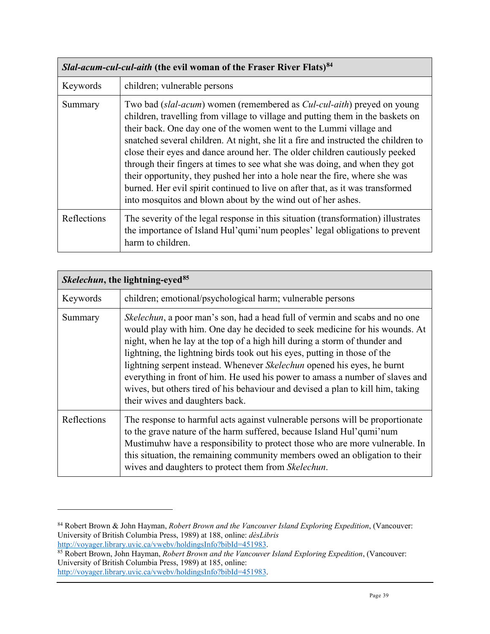| Slal-acum-cul-cul-aith (the evil woman of the Fraser River Flats) <sup>84</sup> |                                                                                                                                                                                                                                                                                                                                                                                                                                                                                                                                                                                                                                                                                                                      |
|---------------------------------------------------------------------------------|----------------------------------------------------------------------------------------------------------------------------------------------------------------------------------------------------------------------------------------------------------------------------------------------------------------------------------------------------------------------------------------------------------------------------------------------------------------------------------------------------------------------------------------------------------------------------------------------------------------------------------------------------------------------------------------------------------------------|
| Keywords                                                                        | children; vulnerable persons                                                                                                                                                                                                                                                                                                                                                                                                                                                                                                                                                                                                                                                                                         |
| Summary                                                                         | Two bad (slal-acum) women (remembered as Cul-cul-aith) preyed on young<br>children, travelling from village to village and putting them in the baskets on<br>their back. One day one of the women went to the Lummi village and<br>snatched several children. At night, she lit a fire and instructed the children to<br>close their eyes and dance around her. The older children cautiously peeked<br>through their fingers at times to see what she was doing, and when they got<br>their opportunity, they pushed her into a hole near the fire, where she was<br>burned. Her evil spirit continued to live on after that, as it was transformed<br>into mosquitos and blown about by the wind out of her ashes. |
| Reflections                                                                     | The severity of the legal response in this situation (transformation) illustrates<br>the importance of Island Hul'qumi'num peoples' legal obligations to prevent<br>harm to children.                                                                                                                                                                                                                                                                                                                                                                                                                                                                                                                                |

|             | <i>Skelechun</i> , the lightning-eyed <sup>85</sup>                                                                                                                                                                                                                                                                                                                                                                                                                                                                                                                                                             |  |
|-------------|-----------------------------------------------------------------------------------------------------------------------------------------------------------------------------------------------------------------------------------------------------------------------------------------------------------------------------------------------------------------------------------------------------------------------------------------------------------------------------------------------------------------------------------------------------------------------------------------------------------------|--|
| Keywords    | children; emotional/psychological harm; vulnerable persons                                                                                                                                                                                                                                                                                                                                                                                                                                                                                                                                                      |  |
| Summary     | <i>Skelechun</i> , a poor man's son, had a head full of vermin and scabs and no one<br>would play with him. One day he decided to seek medicine for his wounds. At<br>night, when he lay at the top of a high hill during a storm of thunder and<br>lightning, the lightning birds took out his eyes, putting in those of the<br>lightning serpent instead. Whenever Skelechun opened his eyes, he burnt<br>everything in front of him. He used his power to amass a number of slaves and<br>wives, but others tired of his behaviour and devised a plan to kill him, taking<br>their wives and daughters back. |  |
| Reflections | The response to harmful acts against vulnerable persons will be proportionate<br>to the grave nature of the harm suffered, because Island Hul'qumi'num<br>Mustimuhw have a responsibility to protect those who are more vulnerable. In<br>this situation, the remaining community members owed an obligation to their<br>wives and daughters to protect them from Skelechun.                                                                                                                                                                                                                                    |  |

<span id="page-38-0"></span><sup>84</sup> Robert Brown & John Hayman, *Robert Brown and the Vancouver Island Exploring Expedition*, (Vancouver: University of British Columbia Press, 1989) at 188, online: *dèsLibris* [http://voyager.library.uvic.ca/vwebv/holdingsInfo?bibId=451983.](http://voyager.library.uvic.ca/vwebv/holdingsInfo?bibId=451983)

<span id="page-38-1"></span><sup>85</sup> Robert Brown, John Hayman, *Robert Brown and the Vancouver Island Exploring Expedition*, (Vancouver: University of British Columbia Press, 1989) at 185, online: [http://voyager.library.uvic.ca/vwebv/holdingsInfo?bibId=451983.](http://voyager.library.uvic.ca/vwebv/holdingsInfo?bibId=451983)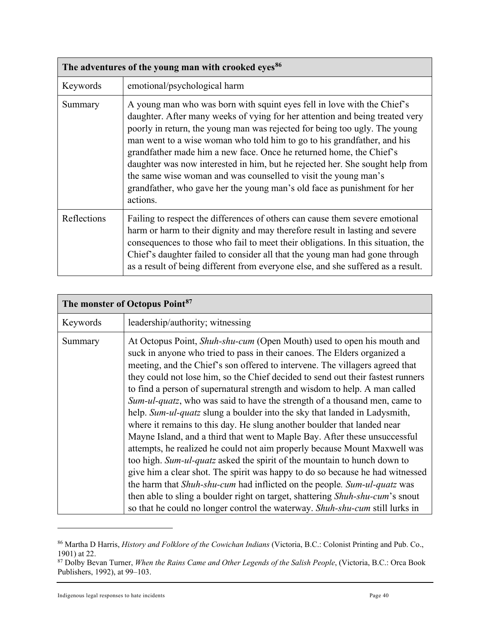|             | The adventures of the young man with crooked eyes <sup>86</sup>                                                                                                                                                                                                                                                                                                                                                                                                                                                                                                                                                                     |  |
|-------------|-------------------------------------------------------------------------------------------------------------------------------------------------------------------------------------------------------------------------------------------------------------------------------------------------------------------------------------------------------------------------------------------------------------------------------------------------------------------------------------------------------------------------------------------------------------------------------------------------------------------------------------|--|
| Keywords    | emotional/psychological harm                                                                                                                                                                                                                                                                                                                                                                                                                                                                                                                                                                                                        |  |
| Summary     | A young man who was born with squint eyes fell in love with the Chief's<br>daughter. After many weeks of vying for her attention and being treated very<br>poorly in return, the young man was rejected for being too ugly. The young<br>man went to a wise woman who told him to go to his grandfather, and his<br>grandfather made him a new face. Once he returned home, the Chief's<br>daughter was now interested in him, but he rejected her. She sought help from<br>the same wise woman and was counselled to visit the young man's<br>grandfather, who gave her the young man's old face as punishment for her<br>actions. |  |
| Reflections | Failing to respect the differences of others can cause them severe emotional<br>harm or harm to their dignity and may therefore result in lasting and severe<br>consequences to those who fail to meet their obligations. In this situation, the<br>Chief's daughter failed to consider all that the young man had gone through<br>as a result of being different from everyone else, and she suffered as a result.                                                                                                                                                                                                                 |  |

| The monster of Octopus Point <sup>87</sup> |                                                                                                                                                                                                                                                                                                                                                                                                                                                                                                                                                                                                                                                                                                                                                                                                                                                                                                                                                                                                                                                                                                                                                                                                                |
|--------------------------------------------|----------------------------------------------------------------------------------------------------------------------------------------------------------------------------------------------------------------------------------------------------------------------------------------------------------------------------------------------------------------------------------------------------------------------------------------------------------------------------------------------------------------------------------------------------------------------------------------------------------------------------------------------------------------------------------------------------------------------------------------------------------------------------------------------------------------------------------------------------------------------------------------------------------------------------------------------------------------------------------------------------------------------------------------------------------------------------------------------------------------------------------------------------------------------------------------------------------------|
| Keywords                                   | leadership/authority; witnessing                                                                                                                                                                                                                                                                                                                                                                                                                                                                                                                                                                                                                                                                                                                                                                                                                                                                                                                                                                                                                                                                                                                                                                               |
| Summary                                    | At Octopus Point, Shuh-shu-cum (Open Mouth) used to open his mouth and<br>suck in anyone who tried to pass in their canoes. The Elders organized a<br>meeting, and the Chief's son offered to intervene. The villagers agreed that<br>they could not lose him, so the Chief decided to send out their fastest runners<br>to find a person of supernatural strength and wisdom to help. A man called<br>Sum-ul-quatz, who was said to have the strength of a thousand men, came to<br>help. Sum-ul-quatz slung a boulder into the sky that landed in Ladysmith,<br>where it remains to this day. He slung another boulder that landed near<br>Mayne Island, and a third that went to Maple Bay. After these unsuccessful<br>attempts, he realized he could not aim properly because Mount Maxwell was<br>too high. Sum-ul-quatz asked the spirit of the mountain to hunch down to<br>give him a clear shot. The spirit was happy to do so because he had witnessed<br>the harm that Shuh-shu-cum had inflicted on the people. Sum-ul-quatz was<br>then able to sling a boulder right on target, shattering Shuh-shu-cum's snout<br>so that he could no longer control the waterway. Shuh-shu-cum still lurks in |

<span id="page-39-0"></span><sup>86</sup> Martha D Harris, *History and Folklore of the Cowichan Indians* (Victoria, B.C.: Colonist Printing and Pub. Co., 1901) at 22.

<span id="page-39-1"></span><sup>87</sup> Dolby Bevan Turner, *When the Rains Came and Other Legends of the Salish People*, (Victoria, B.C.: Orca Book Publishers, 1992), at 99–103.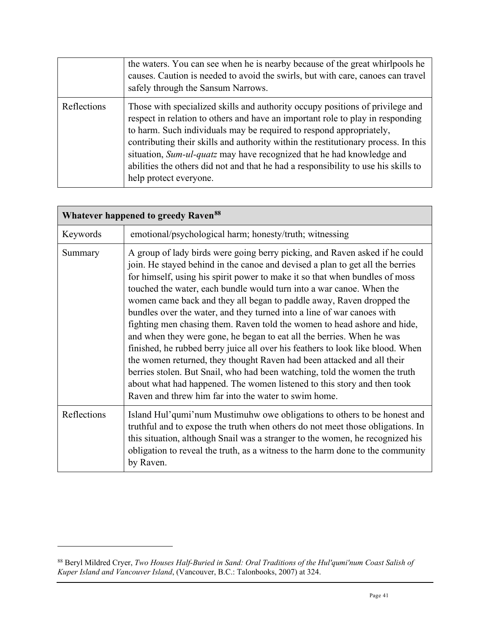|             | the waters. You can see when he is nearby because of the great whirlpools he<br>causes. Caution is needed to avoid the swirls, but with care, canoes can travel<br>safely through the Sansum Narrows.                                                                                                                                                                                                                                                                                                                 |
|-------------|-----------------------------------------------------------------------------------------------------------------------------------------------------------------------------------------------------------------------------------------------------------------------------------------------------------------------------------------------------------------------------------------------------------------------------------------------------------------------------------------------------------------------|
| Reflections | Those with specialized skills and authority occupy positions of privilege and<br>respect in relation to others and have an important role to play in responding<br>to harm. Such individuals may be required to respond appropriately,<br>contributing their skills and authority within the restitutionary process. In this<br>situation, Sum-ul-quatz may have recognized that he had knowledge and<br>abilities the others did not and that he had a responsibility to use his skills to<br>help protect everyone. |

|             | <b>Whatever happened to greedy Raven<sup>88</sup></b>                                                                                                                                                                                                                                                                                                                                                                                                                                                                                                                                                                                                                                                                                                                                                                                                                                                                                                                                                   |  |  |
|-------------|---------------------------------------------------------------------------------------------------------------------------------------------------------------------------------------------------------------------------------------------------------------------------------------------------------------------------------------------------------------------------------------------------------------------------------------------------------------------------------------------------------------------------------------------------------------------------------------------------------------------------------------------------------------------------------------------------------------------------------------------------------------------------------------------------------------------------------------------------------------------------------------------------------------------------------------------------------------------------------------------------------|--|--|
| Keywords    | emotional/psychological harm; honesty/truth; witnessing                                                                                                                                                                                                                                                                                                                                                                                                                                                                                                                                                                                                                                                                                                                                                                                                                                                                                                                                                 |  |  |
| Summary     | A group of lady birds were going berry picking, and Raven asked if he could<br>join. He stayed behind in the canoe and devised a plan to get all the berries<br>for himself, using his spirit power to make it so that when bundles of moss<br>touched the water, each bundle would turn into a war canoe. When the<br>women came back and they all began to paddle away, Raven dropped the<br>bundles over the water, and they turned into a line of war canoes with<br>fighting men chasing them. Raven told the women to head ashore and hide,<br>and when they were gone, he began to eat all the berries. When he was<br>finished, he rubbed berry juice all over his feathers to look like blood. When<br>the women returned, they thought Raven had been attacked and all their<br>berries stolen. But Snail, who had been watching, told the women the truth<br>about what had happened. The women listened to this story and then took<br>Raven and threw him far into the water to swim home. |  |  |
| Reflections | Island Hul'qumi'num Mustimuhw owe obligations to others to be honest and<br>truthful and to expose the truth when others do not meet those obligations. In<br>this situation, although Snail was a stranger to the women, he recognized his<br>obligation to reveal the truth, as a witness to the harm done to the community<br>by Raven.                                                                                                                                                                                                                                                                                                                                                                                                                                                                                                                                                                                                                                                              |  |  |

<span id="page-40-0"></span><sup>88</sup> Beryl Mildred Cryer, *Two Houses Half-Buried in Sand: Oral Traditions of the Hul'qumi'num Coast Salish of Kuper Island and Vancouver Island*, (Vancouver, B.C.: Talonbooks, 2007) at 324.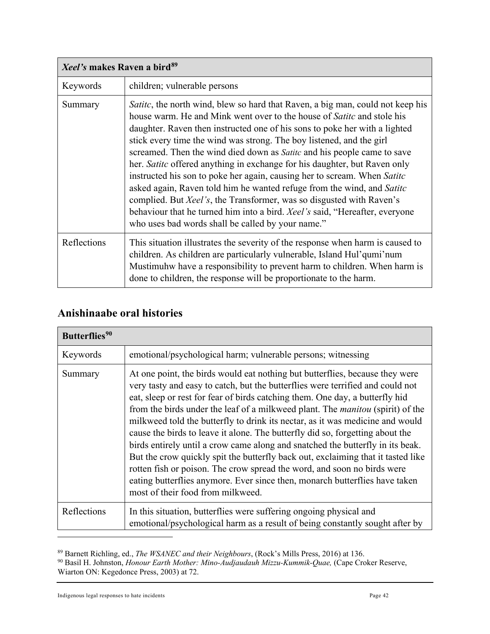| Xeel's makes Raven a bird <sup>89</sup> |                                                                                                                                                                                                                                                                                                                                                                                                                                                                                                                                                                                                                                                                                                                                                                                                                                                                        |
|-----------------------------------------|------------------------------------------------------------------------------------------------------------------------------------------------------------------------------------------------------------------------------------------------------------------------------------------------------------------------------------------------------------------------------------------------------------------------------------------------------------------------------------------------------------------------------------------------------------------------------------------------------------------------------------------------------------------------------------------------------------------------------------------------------------------------------------------------------------------------------------------------------------------------|
| Keywords                                | children; vulnerable persons                                                                                                                                                                                                                                                                                                                                                                                                                                                                                                                                                                                                                                                                                                                                                                                                                                           |
| Summary                                 | <i>Satite</i> , the north wind, blew so hard that Raven, a big man, could not keep his<br>house warm. He and Mink went over to the house of <i>Satitc</i> and stole his<br>daughter. Raven then instructed one of his sons to poke her with a lighted<br>stick every time the wind was strong. The boy listened, and the girl<br>screamed. Then the wind died down as <i>Satitc</i> and his people came to save<br>her. Satite offered anything in exchange for his daughter, but Raven only<br>instructed his son to poke her again, causing her to scream. When Satitc<br>asked again, Raven told him he wanted refuge from the wind, and Satitc<br>complied. But <i>Xeel's</i> , the Transformer, was so disgusted with Raven's<br>behaviour that he turned him into a bird. Xeel's said, "Hereafter, everyone<br>who uses bad words shall be called by your name." |
| Reflections                             | This situation illustrates the severity of the response when harm is caused to<br>children. As children are particularly vulnerable, Island Hul'qumi'num<br>Mustimuhw have a responsibility to prevent harm to children. When harm is<br>done to children, the response will be proportionate to the harm.                                                                                                                                                                                                                                                                                                                                                                                                                                                                                                                                                             |

# <span id="page-41-0"></span>**Anishinaabe oral histories**

| Butterflies <sup>90</sup> |                                                                                                                                                                                                                                                                                                                                                                                                                                                                                                                                                                                                                                                                                                                                                                                                                                                                         |
|---------------------------|-------------------------------------------------------------------------------------------------------------------------------------------------------------------------------------------------------------------------------------------------------------------------------------------------------------------------------------------------------------------------------------------------------------------------------------------------------------------------------------------------------------------------------------------------------------------------------------------------------------------------------------------------------------------------------------------------------------------------------------------------------------------------------------------------------------------------------------------------------------------------|
| Keywords                  | emotional/psychological harm; vulnerable persons; witnessing                                                                                                                                                                                                                                                                                                                                                                                                                                                                                                                                                                                                                                                                                                                                                                                                            |
| Summary                   | At one point, the birds would eat nothing but butterflies, because they were<br>very tasty and easy to catch, but the butterflies were terrified and could not<br>eat, sleep or rest for fear of birds catching them. One day, a butterfly hid<br>from the birds under the leaf of a milkweed plant. The manitou (spirit) of the<br>milkweed told the butterfly to drink its nectar, as it was medicine and would<br>cause the birds to leave it alone. The butterfly did so, forgetting about the<br>birds entirely until a crow came along and snatched the butterfly in its beak.<br>But the crow quickly spit the butterfly back out, exclaiming that it tasted like<br>rotten fish or poison. The crow spread the word, and soon no birds were<br>eating butterflies anymore. Ever since then, monarch butterflies have taken<br>most of their food from milkweed. |
| Reflections               | In this situation, butterflies were suffering ongoing physical and<br>emotional/psychological harm as a result of being constantly sought after by                                                                                                                                                                                                                                                                                                                                                                                                                                                                                                                                                                                                                                                                                                                      |

<sup>89</sup> Barnett Richling, ed., *The WSANEC and their Neighbours*, (Rock's Mills Press, 2016) at 136.

<span id="page-41-2"></span><span id="page-41-1"></span><sup>90</sup> Basil H. Johnston, *Honour Earth Mother: Mino-Audjaudauh Mizzu-Kummik-Quae,* (Cape Croker Reserve, Wiarton ON: Kegedonce Press, 2003) at 72.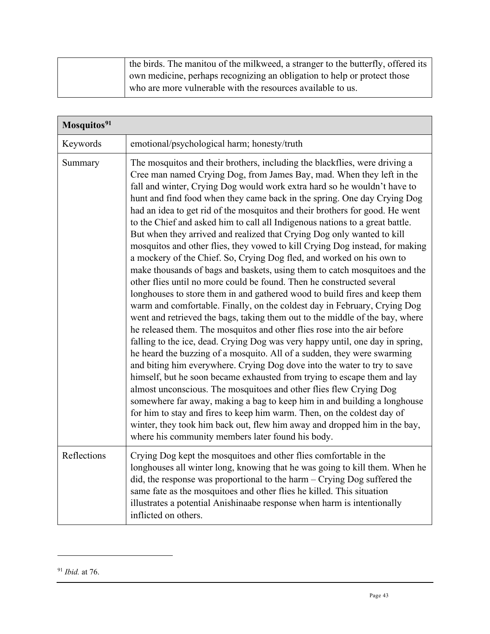| the birds. The manitou of the milkweed, a stranger to the butterfly, offered its |
|----------------------------------------------------------------------------------|
| own medicine, perhaps recognizing an obligation to help or protect those         |
| who are more vulnerable with the resources available to us.                      |

| Mosquitos <sup>91</sup> |                                                                                                                                                                                                                                                                                                                                                                                                                                                                                                                                                                                                                                                                                                                                                                                                                                                                                                                                                                                                                                                                                                                                                                                                                                                                                                                                                                                                                                                                                                                                                                                                                                                                                                                                                                                                                                                                                 |
|-------------------------|---------------------------------------------------------------------------------------------------------------------------------------------------------------------------------------------------------------------------------------------------------------------------------------------------------------------------------------------------------------------------------------------------------------------------------------------------------------------------------------------------------------------------------------------------------------------------------------------------------------------------------------------------------------------------------------------------------------------------------------------------------------------------------------------------------------------------------------------------------------------------------------------------------------------------------------------------------------------------------------------------------------------------------------------------------------------------------------------------------------------------------------------------------------------------------------------------------------------------------------------------------------------------------------------------------------------------------------------------------------------------------------------------------------------------------------------------------------------------------------------------------------------------------------------------------------------------------------------------------------------------------------------------------------------------------------------------------------------------------------------------------------------------------------------------------------------------------------------------------------------------------|
| Keywords                | emotional/psychological harm; honesty/truth                                                                                                                                                                                                                                                                                                                                                                                                                                                                                                                                                                                                                                                                                                                                                                                                                                                                                                                                                                                                                                                                                                                                                                                                                                                                                                                                                                                                                                                                                                                                                                                                                                                                                                                                                                                                                                     |
| Summary                 | The mosquitos and their brothers, including the blackflies, were driving a<br>Cree man named Crying Dog, from James Bay, mad. When they left in the<br>fall and winter, Crying Dog would work extra hard so he wouldn't have to<br>hunt and find food when they came back in the spring. One day Crying Dog<br>had an idea to get rid of the mosquitos and their brothers for good. He went<br>to the Chief and asked him to call all Indigenous nations to a great battle.<br>But when they arrived and realized that Crying Dog only wanted to kill<br>mosquitos and other flies, they vowed to kill Crying Dog instead, for making<br>a mockery of the Chief. So, Crying Dog fled, and worked on his own to<br>make thousands of bags and baskets, using them to catch mosquitoes and the<br>other flies until no more could be found. Then he constructed several<br>longhouses to store them in and gathered wood to build fires and keep them<br>warm and comfortable. Finally, on the coldest day in February, Crying Dog<br>went and retrieved the bags, taking them out to the middle of the bay, where<br>he released them. The mosquitos and other flies rose into the air before<br>falling to the ice, dead. Crying Dog was very happy until, one day in spring,<br>he heard the buzzing of a mosquito. All of a sudden, they were swarming<br>and biting him everywhere. Crying Dog dove into the water to try to save<br>himself, but he soon became exhausted from trying to escape them and lay<br>almost unconscious. The mosquitoes and other flies flew Crying Dog<br>somewhere far away, making a bag to keep him in and building a longhouse<br>for him to stay and fires to keep him warm. Then, on the coldest day of<br>winter, they took him back out, flew him away and dropped him in the bay,<br>where his community members later found his body. |
| Reflections             | Crying Dog kept the mosquitoes and other flies comfortable in the<br>longhouses all winter long, knowing that he was going to kill them. When he<br>did, the response was proportional to the harm $-$ Crying Dog suffered the<br>same fate as the mosquitoes and other flies he killed. This situation<br>illustrates a potential Anishinaabe response when harm is intentionally<br>inflicted on others.                                                                                                                                                                                                                                                                                                                                                                                                                                                                                                                                                                                                                                                                                                                                                                                                                                                                                                                                                                                                                                                                                                                                                                                                                                                                                                                                                                                                                                                                      |

<span id="page-42-0"></span><sup>91</sup> *Ibid.* at 76.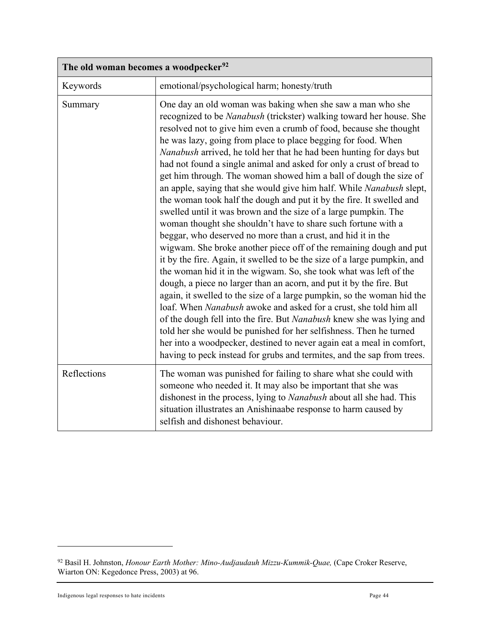| The old woman becomes a woodpecker <sup>92</sup> |                                                                                                                                                                                                                                                                                                                                                                                                                                                                                                                                                                                                                                                                                                                                                                                                                                                                                                                                                                                                                                                                                                                                                                                                                                                                                                                                                                                                                                                                                                                                                                                                       |
|--------------------------------------------------|-------------------------------------------------------------------------------------------------------------------------------------------------------------------------------------------------------------------------------------------------------------------------------------------------------------------------------------------------------------------------------------------------------------------------------------------------------------------------------------------------------------------------------------------------------------------------------------------------------------------------------------------------------------------------------------------------------------------------------------------------------------------------------------------------------------------------------------------------------------------------------------------------------------------------------------------------------------------------------------------------------------------------------------------------------------------------------------------------------------------------------------------------------------------------------------------------------------------------------------------------------------------------------------------------------------------------------------------------------------------------------------------------------------------------------------------------------------------------------------------------------------------------------------------------------------------------------------------------------|
| Keywords                                         | emotional/psychological harm; honesty/truth                                                                                                                                                                                                                                                                                                                                                                                                                                                                                                                                                                                                                                                                                                                                                                                                                                                                                                                                                                                                                                                                                                                                                                                                                                                                                                                                                                                                                                                                                                                                                           |
| Summary                                          | One day an old woman was baking when she saw a man who she<br>recognized to be <i>Nanabush</i> (trickster) walking toward her house. She<br>resolved not to give him even a crumb of food, because she thought<br>he was lazy, going from place to place begging for food. When<br>Nanabush arrived, he told her that he had been hunting for days but<br>had not found a single animal and asked for only a crust of bread to<br>get him through. The woman showed him a ball of dough the size of<br>an apple, saying that she would give him half. While Nanabush slept,<br>the woman took half the dough and put it by the fire. It swelled and<br>swelled until it was brown and the size of a large pumpkin. The<br>woman thought she shouldn't have to share such fortune with a<br>beggar, who deserved no more than a crust, and hid it in the<br>wigwam. She broke another piece off of the remaining dough and put<br>it by the fire. Again, it swelled to be the size of a large pumpkin, and<br>the woman hid it in the wigwam. So, she took what was left of the<br>dough, a piece no larger than an acorn, and put it by the fire. But<br>again, it swelled to the size of a large pumpkin, so the woman hid the<br>loaf. When Nanabush awoke and asked for a crust, she told him all<br>of the dough fell into the fire. But Nanabush knew she was lying and<br>told her she would be punished for her selfishness. Then he turned<br>her into a woodpecker, destined to never again eat a meal in comfort,<br>having to peck instead for grubs and termites, and the sap from trees. |
| Reflections                                      | The woman was punished for failing to share what she could with<br>someone who needed it. It may also be important that she was<br>dishonest in the process, lying to Nanabush about all she had. This<br>situation illustrates an Anishinaabe response to harm caused by<br>selfish and dishonest behaviour.                                                                                                                                                                                                                                                                                                                                                                                                                                                                                                                                                                                                                                                                                                                                                                                                                                                                                                                                                                                                                                                                                                                                                                                                                                                                                         |

<span id="page-43-0"></span><sup>92</sup> Basil H. Johnston, *Honour Earth Mother: Mino-Audjaudauh Mizzu-Kummik-Quae,* (Cape Croker Reserve, Wiarton ON: Kegedonce Press, 2003) at 96.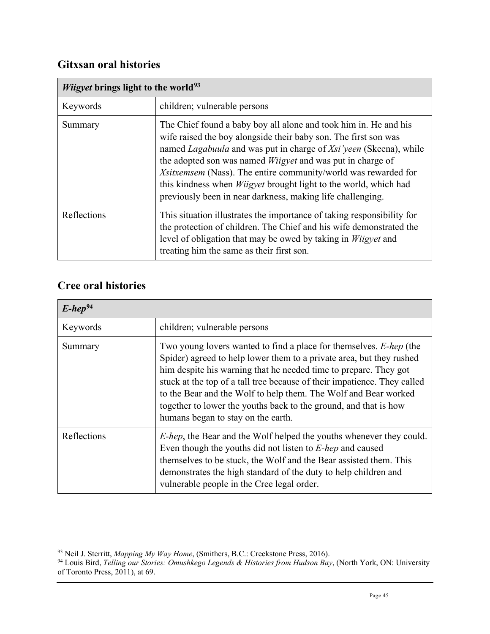# <span id="page-44-0"></span>**Gitxsan oral histories**

| <i>Wiigvet</i> brings light to the world <sup>93</sup> |                                                                                                                                                                                                                                                                                                                                                                                                                                                                                                        |
|--------------------------------------------------------|--------------------------------------------------------------------------------------------------------------------------------------------------------------------------------------------------------------------------------------------------------------------------------------------------------------------------------------------------------------------------------------------------------------------------------------------------------------------------------------------------------|
| Keywords                                               | children; vulnerable persons                                                                                                                                                                                                                                                                                                                                                                                                                                                                           |
| Summary                                                | The Chief found a baby boy all alone and took him in. He and his<br>wife raised the boy alongside their baby son. The first son was<br>named <i>Lagabuula</i> and was put in charge of <i>Xsi'veen</i> (Skeena), while<br>the adopted son was named <i>Wiigyet</i> and was put in charge of<br>Xsitxemsem (Nass). The entire community/world was rewarded for<br>this kindness when <i>Wiigyet</i> brought light to the world, which had<br>previously been in near darkness, making life challenging. |
| Reflections                                            | This situation illustrates the importance of taking responsibility for<br>the protection of children. The Chief and his wife demonstrated the<br>level of obligation that may be owed by taking in <i>Wiigyet</i> and<br>treating him the same as their first son.                                                                                                                                                                                                                                     |

# <span id="page-44-1"></span>**Cree oral histories**

| $E$ -hep <sup>94</sup> |                                                                                                                                                                                                                                                                                                                                                                                                                                                                         |
|------------------------|-------------------------------------------------------------------------------------------------------------------------------------------------------------------------------------------------------------------------------------------------------------------------------------------------------------------------------------------------------------------------------------------------------------------------------------------------------------------------|
| Keywords               | children; vulnerable persons                                                                                                                                                                                                                                                                                                                                                                                                                                            |
| Summary                | Two young lovers wanted to find a place for themselves. E-hep (the<br>Spider) agreed to help lower them to a private area, but they rushed<br>him despite his warning that he needed time to prepare. They got<br>stuck at the top of a tall tree because of their impatience. They called<br>to the Bear and the Wolf to help them. The Wolf and Bear worked<br>together to lower the youths back to the ground, and that is how<br>humans began to stay on the earth. |
| Reflections            | <i>E-hep</i> , the Bear and the Wolf helped the youths whenever they could.<br>Even though the youths did not listen to <i>E-hep</i> and caused<br>themselves to be stuck, the Wolf and the Bear assisted them. This<br>demonstrates the high standard of the duty to help children and<br>vulnerable people in the Cree legal order.                                                                                                                                   |

<sup>93</sup> Neil J. Sterritt, *Mapping My Way Home*, (Smithers, B.C.: Creekstone Press, 2016).

<span id="page-44-3"></span><span id="page-44-2"></span><sup>94</sup> Louis Bird, *Telling our Stories: Omushkego Legends & Histories from Hudson Bay*, (North York, ON: University of Toronto Press, 2011), at 69.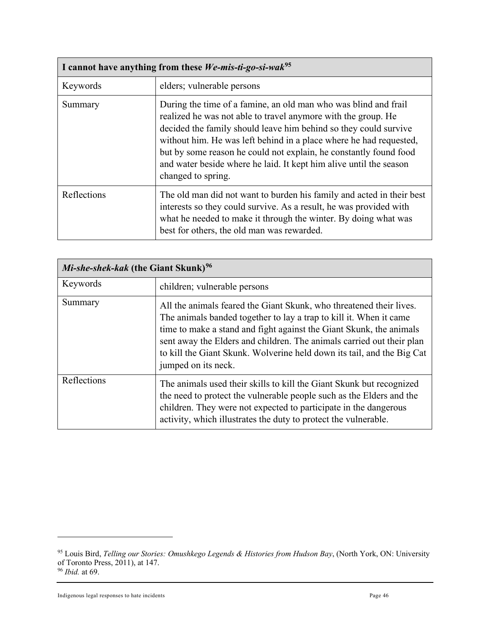| I cannot have anything from these We-mis-ti-go-si-wak <sup>95</sup> |                                                                                                                                                                                                                                                                                                                                                                                                                                             |
|---------------------------------------------------------------------|---------------------------------------------------------------------------------------------------------------------------------------------------------------------------------------------------------------------------------------------------------------------------------------------------------------------------------------------------------------------------------------------------------------------------------------------|
| Keywords                                                            | elders; vulnerable persons                                                                                                                                                                                                                                                                                                                                                                                                                  |
| Summary                                                             | During the time of a famine, an old man who was blind and frail<br>realized he was not able to travel anymore with the group. He<br>decided the family should leave him behind so they could survive<br>without him. He was left behind in a place where he had requested,<br>but by some reason he could not explain, he constantly found food<br>and water beside where he laid. It kept him alive until the season<br>changed to spring. |
| Reflections                                                         | The old man did not want to burden his family and acted in their best<br>interests so they could survive. As a result, he was provided with<br>what he needed to make it through the winter. By doing what was<br>best for others, the old man was rewarded.                                                                                                                                                                                |

| <i>Mi-she-shek-kak</i> (the Giant Skunk) <sup>96</sup> |                                                                                                                                                                                                                                                                                                                                                                                            |
|--------------------------------------------------------|--------------------------------------------------------------------------------------------------------------------------------------------------------------------------------------------------------------------------------------------------------------------------------------------------------------------------------------------------------------------------------------------|
| Keywords                                               | children; vulnerable persons                                                                                                                                                                                                                                                                                                                                                               |
| Summary                                                | All the animals feared the Giant Skunk, who threatened their lives.<br>The animals banded together to lay a trap to kill it. When it came<br>time to make a stand and fight against the Giant Skunk, the animals<br>sent away the Elders and children. The animals carried out their plan<br>to kill the Giant Skunk. Wolverine held down its tail, and the Big Cat<br>jumped on its neck. |
| Reflections                                            | The animals used their skills to kill the Giant Skunk but recognized<br>the need to protect the vulnerable people such as the Elders and the<br>children. They were not expected to participate in the dangerous<br>activity, which illustrates the duty to protect the vulnerable.                                                                                                        |

<span id="page-45-0"></span><sup>95</sup> Louis Bird, *Telling our Stories: Omushkego Legends & Histories from Hudson Bay*, (North York, ON: University of Toronto Press, 2011), at 147.

<span id="page-45-1"></span><sup>96</sup> *Ibid.* at 69.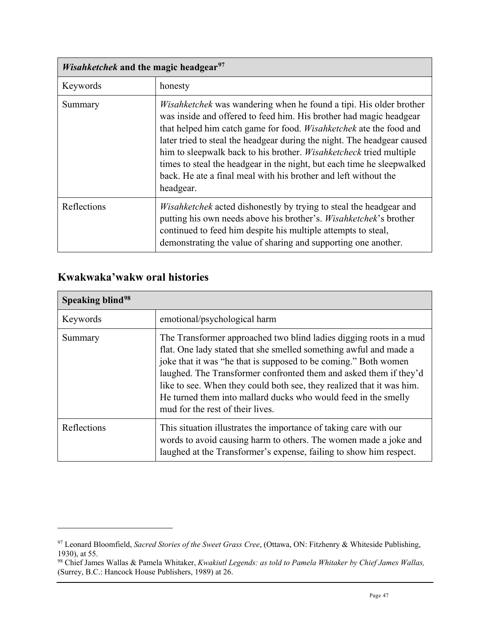| <i>Wisahketchek</i> and the magic headgear <sup>97</sup> |                                                                                                                                                                                                                                                                                                                                                                                                                                                                                                                                                |
|----------------------------------------------------------|------------------------------------------------------------------------------------------------------------------------------------------------------------------------------------------------------------------------------------------------------------------------------------------------------------------------------------------------------------------------------------------------------------------------------------------------------------------------------------------------------------------------------------------------|
| Keywords                                                 | honesty                                                                                                                                                                                                                                                                                                                                                                                                                                                                                                                                        |
| Summary                                                  | <i>Wisahketchek</i> was wandering when he found a tipi. His older brother<br>was inside and offered to feed him. His brother had magic headgear<br>that helped him catch game for food. <i>Wisahketchek</i> ate the food and<br>later tried to steal the headgear during the night. The headgear caused<br>him to sleepwalk back to his brother. <i>Wisahketcheck</i> tried multiple<br>times to steal the headgear in the night, but each time he sleepwalked<br>back. He ate a final meal with his brother and left without the<br>headgear. |
| Reflections                                              | <i>Wisahketchek</i> acted dishonestly by trying to steal the headgear and<br>putting his own needs above his brother's. Wisahketchek's brother<br>continued to feed him despite his multiple attempts to steal,<br>demonstrating the value of sharing and supporting one another.                                                                                                                                                                                                                                                              |

# <span id="page-46-0"></span>**Kwakwaka'wakw oral histories**

| Speaking blind <sup>98</sup> |                                                                                                                                                                                                                                                                                                                                                                                                                                                                |
|------------------------------|----------------------------------------------------------------------------------------------------------------------------------------------------------------------------------------------------------------------------------------------------------------------------------------------------------------------------------------------------------------------------------------------------------------------------------------------------------------|
| Keywords                     | emotional/psychological harm                                                                                                                                                                                                                                                                                                                                                                                                                                   |
| Summary                      | The Transformer approached two blind ladies digging roots in a mud<br>flat. One lady stated that she smelled something awful and made a<br>joke that it was "he that is supposed to be coming." Both women<br>laughed. The Transformer confronted them and asked them if they'd<br>like to see. When they could both see, they realized that it was him.<br>He turned them into mallard ducks who would feed in the smelly<br>mud for the rest of their lives. |
| Reflections                  | This situation illustrates the importance of taking care with our<br>words to avoid causing harm to others. The women made a joke and<br>laughed at the Transformer's expense, failing to show him respect.                                                                                                                                                                                                                                                    |

<span id="page-46-1"></span><sup>97</sup> Leonard Bloomfield, *Sacred Stories of the Sweet Grass Cree*, (Ottawa, ON: Fitzhenry & Whiteside Publishing, 1930), at 55.

<span id="page-46-2"></span><sup>98</sup> Chief James Wallas & Pamela Whitaker, *Kwakiutl Legends: as told to Pamela Whitaker by Chief James Wallas,*  (Surrey, B.C.: Hancock House Publishers, 1989) at 26.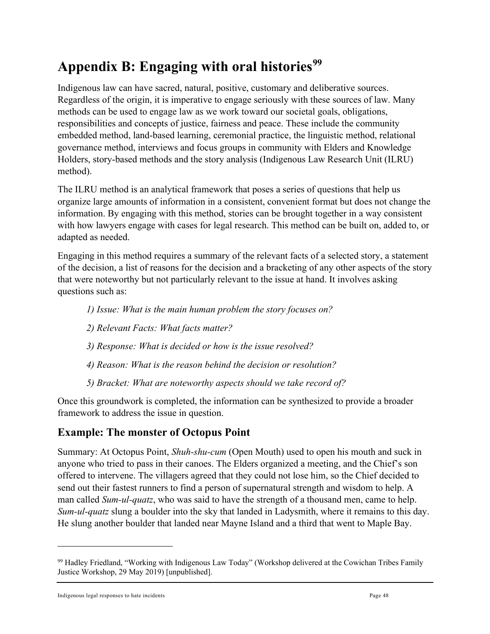# <span id="page-47-0"></span>**Appendix B: Engaging with oral histories[99](#page-47-2)**

Indigenous law can have sacred, natural, positive, customary and deliberative sources. Regardless of the origin, it is imperative to engage seriously with these sources of law. Many methods can be used to engage law as we work toward our societal goals, obligations, responsibilities and concepts of justice, fairness and peace. These include the community embedded method, land-based learning, ceremonial practice, the linguistic method, relational governance method, interviews and focus groups in community with Elders and Knowledge Holders, story-based methods and the story analysis (Indigenous Law Research Unit (ILRU) method).

The ILRU method is an analytical framework that poses a series of questions that help us organize large amounts of information in a consistent, convenient format but does not change the information. By engaging with this method, stories can be brought together in a way consistent with how lawyers engage with cases for legal research. This method can be built on, added to, or adapted as needed.

Engaging in this method requires a summary of the relevant facts of a selected story, a statement of the decision, a list of reasons for the decision and a bracketing of any other aspects of the story that were noteworthy but not particularly relevant to the issue at hand. It involves asking questions such as:

- *1) Issue: What is the main human problem the story focuses on?*
- *2) Relevant Facts: What facts matter?*
- *3) Response: What is decided or how is the issue resolved?*
- *4) Reason: What is the reason behind the decision or resolution?*
- *5) Bracket: What are noteworthy aspects should we take record of?*

Once this groundwork is completed, the information can be synthesized to provide a broader framework to address the issue in question.

# <span id="page-47-1"></span>**Example: The monster of Octopus Point**

Summary: At Octopus Point, *Shuh-shu-cum* (Open Mouth) used to open his mouth and suck in anyone who tried to pass in their canoes. The Elders organized a meeting, and the Chief's son offered to intervene. The villagers agreed that they could not lose him, so the Chief decided to send out their fastest runners to find a person of supernatural strength and wisdom to help. A man called *Sum-ul-quatz*, who was said to have the strength of a thousand men, came to help. *Sum-ul-quatz* slung a boulder into the sky that landed in Ladysmith, where it remains to this day. He slung another boulder that landed near Mayne Island and a third that went to Maple Bay.

<span id="page-47-2"></span><sup>99</sup> Hadley Friedland, "Working with Indigenous Law Today" (Workshop delivered at the Cowichan Tribes Family Justice Workshop, 29 May 2019) [unpublished].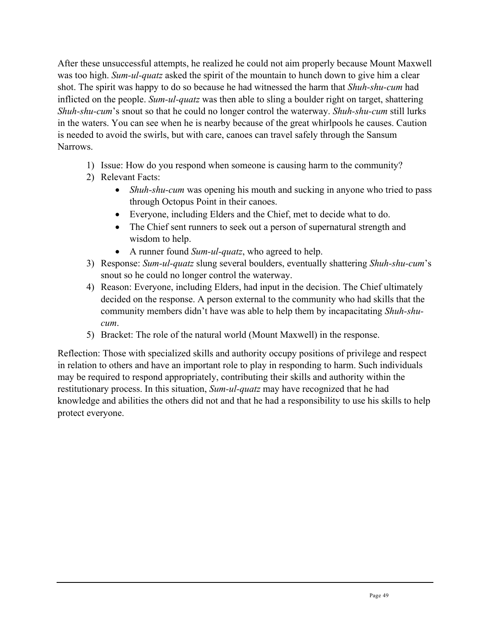After these unsuccessful attempts, he realized he could not aim properly because Mount Maxwell was too high. *Sum-ul-quatz* asked the spirit of the mountain to hunch down to give him a clear shot. The spirit was happy to do so because he had witnessed the harm that *Shuh-shu-cum* had inflicted on the people. *Sum-ul-quatz* was then able to sling a boulder right on target, shattering *Shuh-shu-cum*'s snout so that he could no longer control the waterway. *Shuh-shu-cum* still lurks in the waters. You can see when he is nearby because of the great whirlpools he causes. Caution is needed to avoid the swirls, but with care, canoes can travel safely through the Sansum Narrows.

- 1) Issue: How do you respond when someone is causing harm to the community?
- 2) Relevant Facts:
	- *Shuh-shu-cum* was opening his mouth and sucking in anyone who tried to pass through Octopus Point in their canoes.
	- Everyone, including Elders and the Chief, met to decide what to do.
	- The Chief sent runners to seek out a person of supernatural strength and wisdom to help.
	- A runner found *Sum-ul-quatz*, who agreed to help.
- 3) Response: *Sum-ul-quatz* slung several boulders, eventually shattering *Shuh-shu-cum*'s snout so he could no longer control the waterway.
- 4) Reason: Everyone, including Elders, had input in the decision. The Chief ultimately decided on the response. A person external to the community who had skills that the community members didn't have was able to help them by incapacitating *Shuh-shucum*.
- 5) Bracket: The role of the natural world (Mount Maxwell) in the response.

Reflection: Those with specialized skills and authority occupy positions of privilege and respect in relation to others and have an important role to play in responding to harm. Such individuals may be required to respond appropriately, contributing their skills and authority within the restitutionary process. In this situation, *Sum-ul-quatz* may have recognized that he had knowledge and abilities the others did not and that he had a responsibility to use his skills to help protect everyone.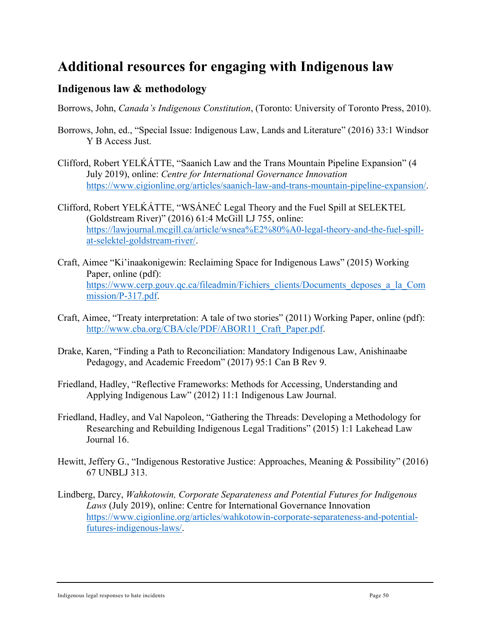# <span id="page-49-0"></span>**Additional resources for engaging with Indigenous law**

# <span id="page-49-1"></span>**Indigenous law & methodology**

Borrows, John, *Canada's Indigenous Constitution*, (Toronto: University of Toronto Press, 2010).

- Borrows, John, ed., "Special Issue: Indigenous Law, Lands and Literature" (2016) 33:1 Windsor Y B Access Just.
- Clifford, Robert YELḰÁTTE, "Saanich Law and the Trans Mountain Pipeline Expansion" (4 July 2019), online: *Centre for International Governance Innovation* [https://www.cigionline.org/articles/saanich-law-and-trans-mountain-pipeline-expansion/.](https://www.cigionline.org/articles/saanich-law-and-trans-mountain-pipeline-expansion/)
- Clifford, Robert YELḰÁTTE, "WSÁNEĆ Legal Theory and the Fuel Spill at SELEKTEL (Goldstream River)" (2016) 61:4 McGill LJ 755, online: [https://lawjournal.mcgill.ca/article/wsnea%E2%80%A0-legal-theory-and-the-fuel-spill](https://lawjournal.mcgill.ca/article/wsnea%E2%80%A0-legal-theory-and-the-fuel-spill-at-selektel-goldstream-river/)[at-selektel-goldstream-river/.](https://lawjournal.mcgill.ca/article/wsnea%E2%80%A0-legal-theory-and-the-fuel-spill-at-selektel-goldstream-river/)
- Craft, Aimee "Ki'inaakonigewin: Reclaiming Space for Indigenous Laws" (2015) Working Paper, online (pdf): [https://www.cerp.gouv.qc.ca/fileadmin/Fichiers\\_clients/Documents\\_deposes\\_a\\_la\\_Com](https://www.cerp.gouv.qc.ca/fileadmin/Fichiers_clients/Documents_deposes_a_la_Commission/P-317.pdf) [mission/P-317.pdf.](https://www.cerp.gouv.qc.ca/fileadmin/Fichiers_clients/Documents_deposes_a_la_Commission/P-317.pdf)
- Craft, Aimee, "Treaty interpretation: A tale of two stories" (2011) Working Paper, online (pdf): [http://www.cba.org/CBA/cle/PDF/ABOR11\\_Craft\\_Paper.pdf.](http://www.cba.org/CBA/cle/PDF/ABOR11_Craft_Paper.pdf)
- Drake, Karen, "Finding a Path to Reconciliation: Mandatory Indigenous Law, Anishinaabe Pedagogy, and Academic Freedom" (2017) 95:1 Can B Rev 9.
- Friedland, Hadley, "Reflective Frameworks: Methods for Accessing, Understanding and Applying Indigenous Law" (2012) 11:1 Indigenous Law Journal.
- Friedland, Hadley, and Val Napoleon, "Gathering the Threads: Developing a Methodology for Researching and Rebuilding Indigenous Legal Traditions" (2015) 1:1 Lakehead Law Journal 16.
- Hewitt, Jeffery G., "Indigenous Restorative Justice: Approaches, Meaning & Possibility" (2016) 67 UNBLJ 313.
- Lindberg, Darcy, *Wahkotowin, Corporate Separateness and Potential Futures for Indigenous Laws* (July 2019), online: Centre for International Governance Innovation [https://www.cigionline.org/articles/wahkotowin-corporate-separateness-and-potential](https://www.cigionline.org/articles/wahkotowin-corporate-separateness-and-potential-futures-indigenous-laws/)[futures-indigenous-laws/.](https://www.cigionline.org/articles/wahkotowin-corporate-separateness-and-potential-futures-indigenous-laws/)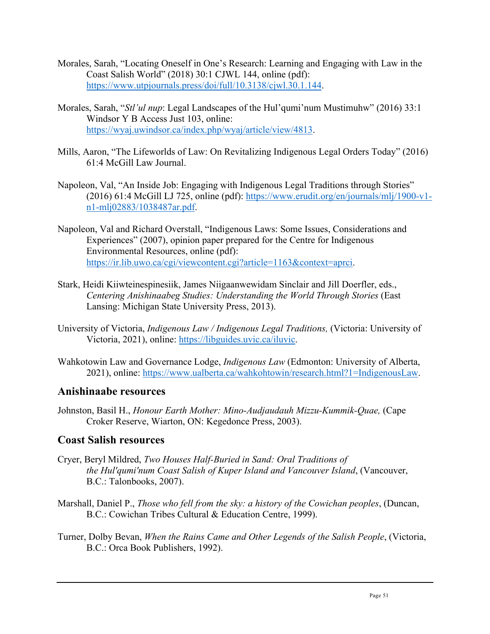- Morales, Sarah, "Locating Oneself in One's Research: Learning and Engaging with Law in the Coast Salish World" (2018) 30:1 CJWL 144, online (pdf): [https://www.utpjournals.press/doi/full/10.3138/cjwl.30.1.144.](https://www.utpjournals.press/doi/full/10.3138/cjwl.30.1.144)
- Morales, Sarah, "*Stl'ul nup*: Legal Landscapes of the Hul'qumi'num Mustimuhw" (2016) 33:1 Windsor Y B Access Just 103, online: [https://wyaj.uwindsor.ca/index.php/wyaj/article/view/4813.](https://wyaj.uwindsor.ca/index.php/wyaj/article/view/4813)
- Mills, Aaron, "The Lifeworlds of Law: On Revitalizing Indigenous Legal Orders Today" (2016) 61:4 McGill Law Journal.
- Napoleon, Val, "An Inside Job: Engaging with Indigenous Legal Traditions through Stories" (2016) 61:4 McGill LJ 725, online (pdf): [https://www.erudit.org/en/journals/mlj/1900-v1](https://www.erudit.org/en/journals/mlj/1900-v1-n1-mlj02883/1038487ar.pdf) [n1-mlj02883/1038487ar.pdf.](https://www.erudit.org/en/journals/mlj/1900-v1-n1-mlj02883/1038487ar.pdf)
- Napoleon, Val and Richard Overstall, "Indigenous Laws: Some Issues, Considerations and Experiences" (2007), opinion paper prepared for the Centre for Indigenous Environmental Resources, online (pdf): [https://ir.lib.uwo.ca/cgi/viewcontent.cgi?article=1163&context=aprci.](https://ir.lib.uwo.ca/cgi/viewcontent.cgi?article=1163&context=aprci)
- Stark, Heidi Kiiwteinespinesiik, James Niigaanwewidam Sinclair and Jill Doerfler, eds., *Centering Anishinaabeg Studies: Understanding the World Through Stories* (East Lansing: Michigan State University Press, 2013).
- University of Victoria, *Indigenous Law / Indigenous Legal Traditions,* (Victoria: University of Victoria, 2021), online: [https://libguides.uvic.ca/iluvic.](https://libguides.uvic.ca/iluvic)
- Wahkotowin Law and Governance Lodge, *Indigenous Law* (Edmonton: University of Alberta, 2021), online: [https://www.ualberta.ca/wahkohtowin/research.html?1=IndigenousLaw.](https://www.ualberta.ca/wahkohtowin/research.html?1=IndigenousLaw)

#### <span id="page-50-0"></span>**Anishinaabe resources**

Johnston, Basil H., *Honour Earth Mother: Mino-Audjaudauh Mizzu-Kummik-Quae,* (Cape Croker Reserve, Wiarton, ON: Kegedonce Press, 2003).

# <span id="page-50-1"></span>**Coast Salish resources**

- Cryer, Beryl Mildred, *Two Houses Half-Buried in Sand: Oral Traditions of the Hul'qumi'num Coast Salish of Kuper Island and Vancouver Island*, (Vancouver, B.C.: Talonbooks, 2007).
- Marshall, Daniel P., *Those who fell from the sky: a history of the Cowichan peoples*, (Duncan, B.C.: Cowichan Tribes Cultural & Education Centre, 1999).
- Turner, Dolby Bevan, *When the Rains Came and Other Legends of the Salish People*, (Victoria, B.C.: Orca Book Publishers, 1992).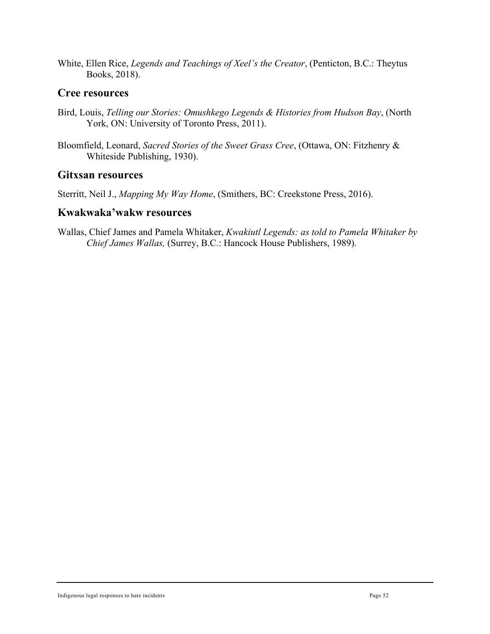White, Ellen Rice, *Legends and Teachings of Xeel's the Creator*, (Penticton, B.C.: Theytus Books, 2018).

#### <span id="page-51-0"></span>**Cree resources**

- Bird, Louis, *Telling our Stories: Omushkego Legends & Histories from Hudson Bay*, (North York, ON: University of Toronto Press, 2011).
- Bloomfield, Leonard, *Sacred Stories of the Sweet Grass Cree*, (Ottawa, ON: Fitzhenry & Whiteside Publishing, 1930).

#### <span id="page-51-1"></span>**Gitxsan resources**

Sterritt, Neil J., *Mapping My Way Home*, (Smithers, BC: Creekstone Press, 2016).

#### <span id="page-51-2"></span>**Kwakwaka'wakw resources**

Wallas, Chief James and Pamela Whitaker, *Kwakiutl Legends: as told to Pamela Whitaker by Chief James Wallas,* (Surrey, B.C.: Hancock House Publishers, 1989).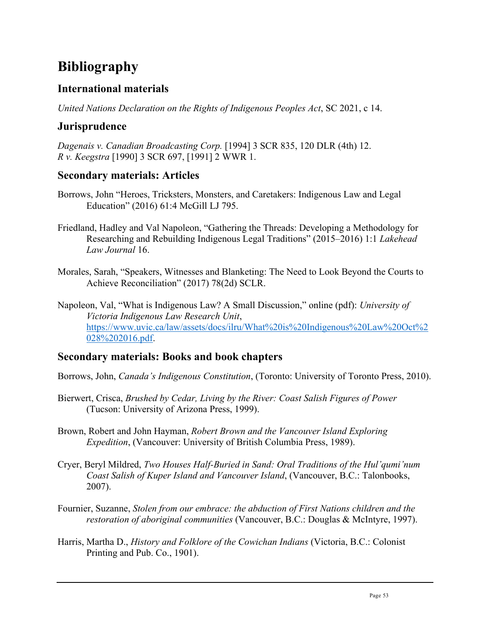# <span id="page-52-0"></span>**Bibliography**

# <span id="page-52-1"></span>**International materials**

*United Nations Declaration on the Rights of Indigenous Peoples Act*, SC 2021, c 14.

# <span id="page-52-2"></span>**Jurisprudence**

*Dagenais v. Canadian Broadcasting Corp.* [1994] 3 SCR 835, 120 DLR (4th) 12. *R v. Keegstra* [1990] 3 SCR 697, [1991] 2 WWR 1.

# <span id="page-52-3"></span>**Secondary materials: Articles**

- Borrows, John "Heroes, Tricksters, Monsters, and Caretakers: Indigenous Law and Legal Education" (2016) 61:4 McGill LJ 795.
- Friedland, Hadley and Val Napoleon, "Gathering the Threads: Developing a Methodology for Researching and Rebuilding Indigenous Legal Traditions" (2015–2016) 1:1 *Lakehead Law Journal* 16.
- Morales, Sarah, "Speakers, Witnesses and Blanketing: The Need to Look Beyond the Courts to Achieve Reconciliation" (2017) 78(2d) SCLR.
- Napoleon, Val, "What is Indigenous Law? A Small Discussion," online (pdf): *University of Victoria Indigenous Law Research Unit*, [https://www.uvic.ca/law/assets/docs/ilru/What%20is%20Indigenous%20Law%20Oct%2](https://www.uvic.ca/law/assets/docs/ilru/What%20is%20Indigenous%20Law%20Oct%2028%202016.pdf) [028%202016.pdf.](https://www.uvic.ca/law/assets/docs/ilru/What%20is%20Indigenous%20Law%20Oct%2028%202016.pdf)

# <span id="page-52-4"></span>**Secondary materials: Books and book chapters**

Borrows, John, *Canada's Indigenous Constitution*, (Toronto: University of Toronto Press, 2010).

Bierwert, Crisca, *Brushed by Cedar, Living by the River: Coast Salish Figures of Power* (Tucson: University of Arizona Press, 1999).

Brown, Robert and John Hayman, *Robert Brown and the Vancouver Island Exploring Expedition*, (Vancouver: University of British Columbia Press, 1989).

- Cryer, Beryl Mildred, *Two Houses Half-Buried in Sand: Oral Traditions of the Hul'qumi'num Coast Salish of Kuper Island and Vancouver Island*, (Vancouver, B.C.: Talonbooks, 2007).
- Fournier, Suzanne, *Stolen from our embrace: the abduction of First Nations children and the restoration of aboriginal communities* (Vancouver, B.C.: Douglas & McIntyre, 1997).
- Harris, Martha D., *History and Folklore of the Cowichan Indians* (Victoria, B.C.: Colonist Printing and Pub. Co., 1901).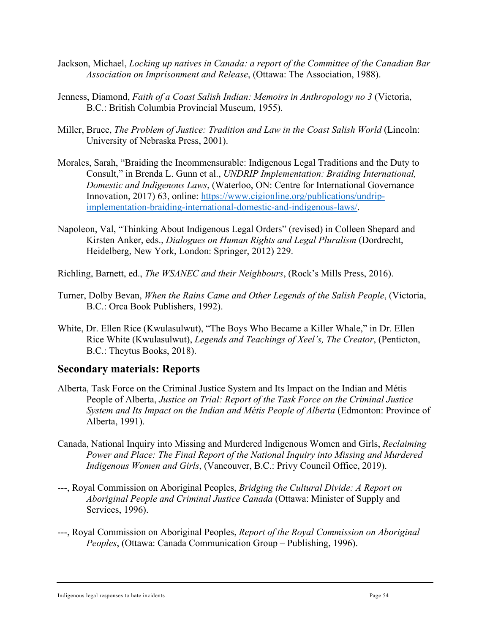- Jackson, Michael, *Locking up natives in Canada: a report of the Committee of the Canadian Bar Association on Imprisonment and Release*, (Ottawa: The Association, 1988).
- Jenness, Diamond, *Faith of a Coast Salish Indian: Memoirs in Anthropology no 3* (Victoria, B.C.: British Columbia Provincial Museum, 1955).
- Miller, Bruce, *The Problem of Justice: Tradition and Law in the Coast Salish World* (Lincoln: University of Nebraska Press, 2001).
- Morales, Sarah, "Braiding the Incommensurable: Indigenous Legal Traditions and the Duty to Consult," in Brenda L. Gunn et al., *UNDRIP Implementation: Braiding International, Domestic and Indigenous Laws*, (Waterloo, ON: Centre for International Governance Innovation, 2017) 63, online: [https://www.cigionline.org/publications/undrip](https://www.cigionline.org/publications/undrip-implementation-braiding-international-domestic-and-indigenous-laws/)[implementation-braiding-international-domestic-and-indigenous-laws/.](https://www.cigionline.org/publications/undrip-implementation-braiding-international-domestic-and-indigenous-laws/)
- Napoleon, Val, "Thinking About Indigenous Legal Orders" (revised) in Colleen Shepard and Kirsten Anker, eds., *Dialogues on Human Rights and Legal Pluralism* (Dordrecht, Heidelberg, New York, London: Springer, 2012) 229.
- Richling, Barnett, ed., *The WSANEC and their Neighbours*, (Rock's Mills Press, 2016).
- Turner, Dolby Bevan, *When the Rains Came and Other Legends of the Salish People*, (Victoria, B.C.: Orca Book Publishers, 1992).
- White, Dr. Ellen Rice (Kwulasulwut), "The Boys Who Became a Killer Whale," in Dr. Ellen Rice White (Kwulasulwut), *Legends and Teachings of Xeel's, The Creator*, (Penticton, B.C.: Theytus Books, 2018).

#### <span id="page-53-0"></span>**Secondary materials: Reports**

- Alberta, Task Force on the Criminal Justice System and Its Impact on the Indian and Métis People of Alberta, *Justice on Trial: Report of the Task Force on the Criminal Justice System and Its Impact on the Indian and Métis People of Alberta* (Edmonton: Province of Alberta, 1991).
- Canada, National Inquiry into Missing and Murdered Indigenous Women and Girls, *Reclaiming Power and Place: The Final Report of the National Inquiry into Missing and Murdered Indigenous Women and Girls*, (Vancouver, B.C.: Privy Council Office, 2019).
- ---, Royal Commission on Aboriginal Peoples, *Bridging the Cultural Divide: A Report on Aboriginal People and Criminal Justice Canada* (Ottawa: Minister of Supply and Services, 1996).
- ---, Royal Commission on Aboriginal Peoples, *Report of the Royal Commission on Aboriginal Peoples*, (Ottawa: Canada Communication Group – Publishing, 1996).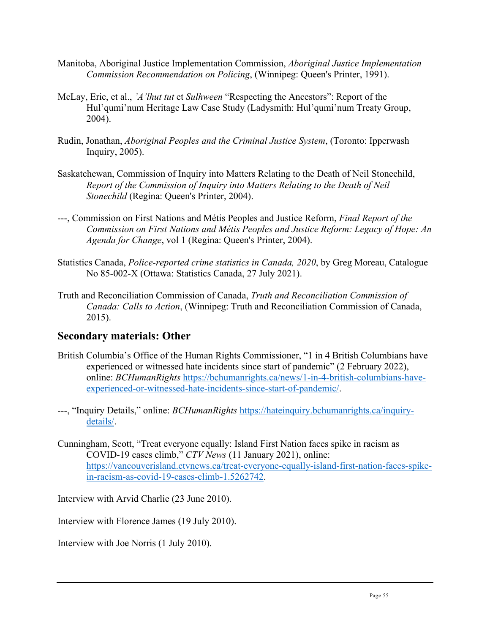- Manitoba, Aboriginal Justice Implementation Commission, *Aboriginal Justice Implementation Commission Recommendation on Policing*, (Winnipeg: Queen's Printer, 1991).
- McLay, Eric, et al., *'A'lhut tut* et *Sulhween* "Respecting the Ancestors": Report of the Hul'qumi'num Heritage Law Case Study (Ladysmith: Hul'qumi'num Treaty Group, 2004).
- Rudin, Jonathan, *Aboriginal Peoples and the Criminal Justice System*, (Toronto: Ipperwash Inquiry, 2005).
- Saskatchewan, Commission of Inquiry into Matters Relating to the Death of Neil Stonechild, *Report of the Commission of Inquiry into Matters Relating to the Death of Neil Stonechild* (Regina: Queen's Printer, 2004).
- ---, Commission on First Nations and Métis Peoples and Justice Reform, *Final Report of the Commission on First Nations and Métis Peoples and Justice Reform: Legacy of Hope: An Agenda for Change*, vol 1 (Regina: Queen's Printer, 2004).
- Statistics Canada, *Police-reported crime statistics in Canada, 2020*, by Greg Moreau, Catalogue No 85-002-X (Ottawa: Statistics Canada, 27 July 2021).
- Truth and Reconciliation Commission of Canada, *Truth and Reconciliation Commission of Canada: Calls to Action*, (Winnipeg: Truth and Reconciliation Commission of Canada, 2015).

#### <span id="page-54-0"></span>**Secondary materials: Other**

- British Columbia's Office of the Human Rights Commissioner, "1 in 4 British Columbians have experienced or witnessed hate incidents since start of pandemic" (2 February 2022), online: *BCHumanRights* [https://bchumanrights.ca/news/1-in-4-british-columbians-have](https://bchumanrights.ca/news/1-in-4-british-columbians-have-experienced-or-witnessed-hate-incidents-since-start-of-pandemic/)[experienced-or-witnessed-hate-incidents-since-start-of-pandemic/.](https://bchumanrights.ca/news/1-in-4-british-columbians-have-experienced-or-witnessed-hate-incidents-since-start-of-pandemic/)
- ---, "Inquiry Details," online: *BCHumanRights* [https://hateinquiry.bchumanrights.ca/inquiry](https://hateinquiry.bchumanrights.ca/inquiry-details/)[details/.](https://hateinquiry.bchumanrights.ca/inquiry-details/)
- Cunningham, Scott, "Treat everyone equally: Island First Nation faces spike in racism as COVID-19 cases climb," *CTV News* (11 January 2021), online: [https://vancouverisland.ctvnews.ca/treat-everyone-equally-island-first-nation-faces-spike](https://vancouverisland.ctvnews.ca/treat-everyone-equally-island-first-nation-faces-spike-in-racism-as-covid-19-cases-climb-1.5262742)[in-racism-as-covid-19-cases-climb-1.5262742.](https://vancouverisland.ctvnews.ca/treat-everyone-equally-island-first-nation-faces-spike-in-racism-as-covid-19-cases-climb-1.5262742)

Interview with Arvid Charlie (23 June 2010).

Interview with Florence James (19 July 2010).

Interview with Joe Norris (1 July 2010).